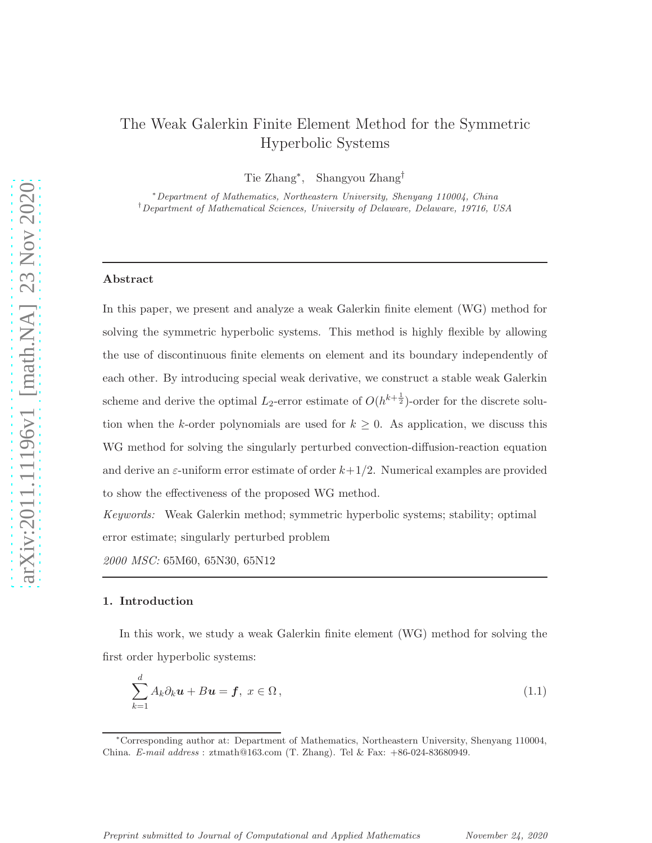# The Weak Galerkin Finite Element Method for the Symmetric Hyperbolic Systems

Tie Zhang<sup>∗</sup> , Shangyou Zhang†

<sup>∗</sup>Department of Mathematics, Northeastern University, Shenyang 110004, China †Department of Mathematical Sciences, University of Delaware, Delaware, 19716, USA

## Abstract

In this paper, we present and analyze a weak Galerkin finite element (WG) method for solving the symmetric hyperbolic systems. This method is highly flexible by allowing the use of discontinuous finite elements on element and its boundary independently of each other. By introducing special weak derivative, we construct a stable weak Galerkin scheme and derive the optimal  $L_2$ -error estimate of  $O(h^{k+\frac{1}{2}})$ -order for the discrete solution when the k-order polynomials are used for  $k \geq 0$ . As application, we discuss this WG method for solving the singularly perturbed convection-diffusion-reaction equation and derive an  $\varepsilon$ -uniform error estimate of order  $k+1/2$ . Numerical examples are provided to show the effectiveness of the proposed WG method.

Keywords: Weak Galerkin method; symmetric hyperbolic systems; stability; optimal error estimate; singularly perturbed problem

2000 MSC: 65M60, 65N30, 65N12

#### 1. Introduction

In this work, we study a weak Galerkin finite element (WG) method for solving the first order hyperbolic systems:

<span id="page-0-0"></span>
$$
\sum_{k=1}^{d} A_k \partial_k \mathbf{u} + B \mathbf{u} = \mathbf{f}, \ x \in \Omega \,, \tag{1.1}
$$

<sup>∗</sup>Corresponding author at: Department of Mathematics, Northeastern University, Shenyang 110004, China. E-mail address : ztmath@163.com (T. Zhang). Tel & Fax: +86-024-83680949.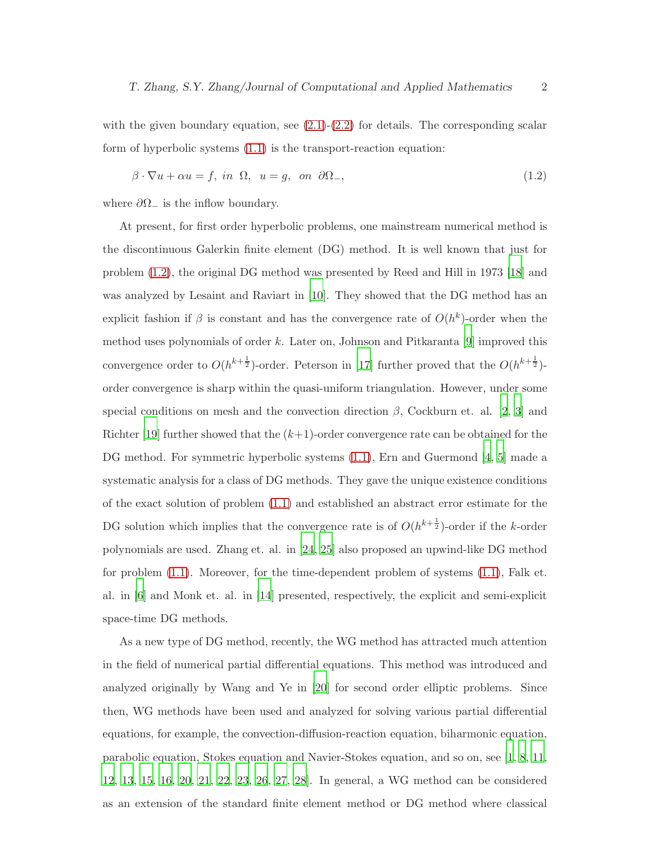with the given boundary equation, see  $(2.1)-(2.2)$  $(2.1)-(2.2)$  for details. The corresponding scalar form of hyperbolic systems [\(1.1\)](#page-0-0) is the transport-reaction equation:

<span id="page-1-0"></span>
$$
\beta \cdot \nabla u + \alpha u = f, \text{ in } \Omega, \ u = g, \text{ on } \partial \Omega_-, \tag{1.2}
$$

where  $\partial\Omega_-\$  is the inflow boundary.

At present, for first order hyperbolic problems, one mainstream numerical method is the discontinuous Galerkin finite element (DG) method. It is well known that just for problem [\(1.2\)](#page-1-0), the original DG method was presented by Reed and Hill in 1973 [\[18](#page-22-0)] and was analyzed by Lesaint and Raviart in [\[10](#page-22-1)]. They showed that the DG method has an explicit fashion if  $\beta$  is constant and has the convergence rate of  $O(h^k)$ -order when the method uses polynomials of order  $k$ . Later on, Johnson and Pitkaranta [\[9](#page-22-2)] improved this convergence order to  $O(h^{k+\frac{1}{2}})$ -order. Peterson in [\[17\]](#page-22-3) further proved that the  $O(h^{k+\frac{1}{2}})$ order convergence is sharp within the quasi-uniform triangulation. However, under some special conditions on mesh and the convection direction  $\beta$ , Cockburn et. al. [\[2](#page-21-0), [3](#page-21-1)] and Richter [\[19\]](#page-22-4) further showed that the  $(k+1)$ -order convergence rate can be obtained for the DG method. For symmetric hyperbolic systems [\(1.1\)](#page-0-0), Ern and Guermond [\[4](#page-21-2), [5](#page-21-3)] made a systematic analysis for a class of DG methods. They gave the unique existence conditions of the exact solution of problem [\(1.1\)](#page-0-0) and established an abstract error estimate for the DG solution which implies that the convergence rate is of  $O(h^{k+\frac{1}{2}})$ -order if the k-order polynomials are used. Zhang et. al. in [\[24](#page-22-5), [25](#page-23-0)] also proposed an upwind-like DG method for problem [\(1.1\)](#page-0-0). Moreover, for the time-dependent problem of systems [\(1.1\)](#page-0-0), Falk et. al. in [\[6\]](#page-21-4) and Monk et. al. in [\[14\]](#page-22-6) presented, respectively, the explicit and semi-explicit space-time DG methods.

As a new type of DG method, recently, the WG method has attracted much attention in the field of numerical partial differential equations. This method was introduced and analyzed originally by Wang and Ye in [\[20\]](#page-22-7) for second order elliptic problems. Since then, WG methods have been used and analyzed for solving various partial differential equations, for example, the convection-diffusion-reaction equation, biharmonic equation, parabolic equation, Stokes equation and Navier-Stokes equation, and so on, see [\[1](#page-21-5), [8,](#page-21-6) [11](#page-22-8), [12](#page-22-9), [13](#page-22-10), [15](#page-22-11), [16](#page-22-12), [20](#page-22-7), [21](#page-22-13), [22,](#page-22-14) [23,](#page-22-15) [26,](#page-23-1) [27,](#page-23-2) [28\]](#page-23-3). In general, a WG method can be considered as an extension of the standard finite element method or DG method where classical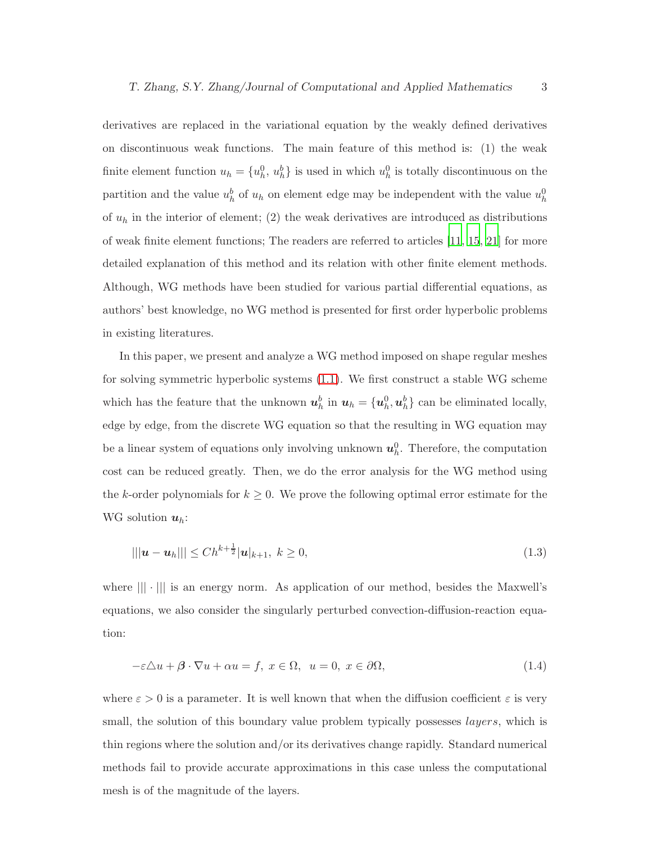derivatives are replaced in the variational equation by the weakly defined derivatives on discontinuous weak functions. The main feature of this method is: (1) the weak finite element function  $u_h = \{u_h^0, u_h^b\}$  is used in which  $u_h^0$  is totally discontinuous on the partition and the value  $u_h^b$  of  $u_h$  on element edge may be independent with the value  $u_h^0$ of  $u_h$  in the interior of element; (2) the weak derivatives are introduced as distributions of weak finite element functions; The readers are referred to articles [\[11](#page-22-8), [15,](#page-22-11) [21\]](#page-22-13) for more detailed explanation of this method and its relation with other finite element methods. Although, WG methods have been studied for various partial differential equations, as authors' best knowledge, no WG method is presented for first order hyperbolic problems in existing literatures.

In this paper, we present and analyze a WG method imposed on shape regular meshes for solving symmetric hyperbolic systems [\(1.1\)](#page-0-0). We first construct a stable WG scheme which has the feature that the unknown  $u_h^b$  in  $u_h = \{u_h^0, u_h^b\}$  can be eliminated locally, edge by edge, from the discrete WG equation so that the resulting in WG equation may be a linear system of equations only involving unknown  $u_h^0$ . Therefore, the computation cost can be reduced greatly. Then, we do the error analysis for the WG method using the k-order polynomials for  $k \geq 0$ . We prove the following optimal error estimate for the WG solution  $u_h$ :

$$
|||\mathbf{u} - \mathbf{u}_h||| \le Ch^{k + \frac{1}{2}} |\mathbf{u}|_{k+1}, \ k \ge 0,
$$
\n(1.3)

where  $\| \cdot \|$  is an energy norm. As application of our method, besides the Maxwell's equations, we also consider the singularly perturbed convection-diffusion-reaction equation:

<span id="page-2-0"></span>
$$
-\varepsilon \Delta u + \beta \cdot \nabla u + \alpha u = f, \ x \in \Omega, \ u = 0, \ x \in \partial \Omega,
$$
\n(1.4)

where  $\varepsilon > 0$  is a parameter. It is well known that when the diffusion coefficient  $\varepsilon$  is very small, the solution of this boundary value problem typically possesses *layers*, which is thin regions where the solution and/or its derivatives change rapidly. Standard numerical methods fail to provide accurate approximations in this case unless the computational mesh is of the magnitude of the layers.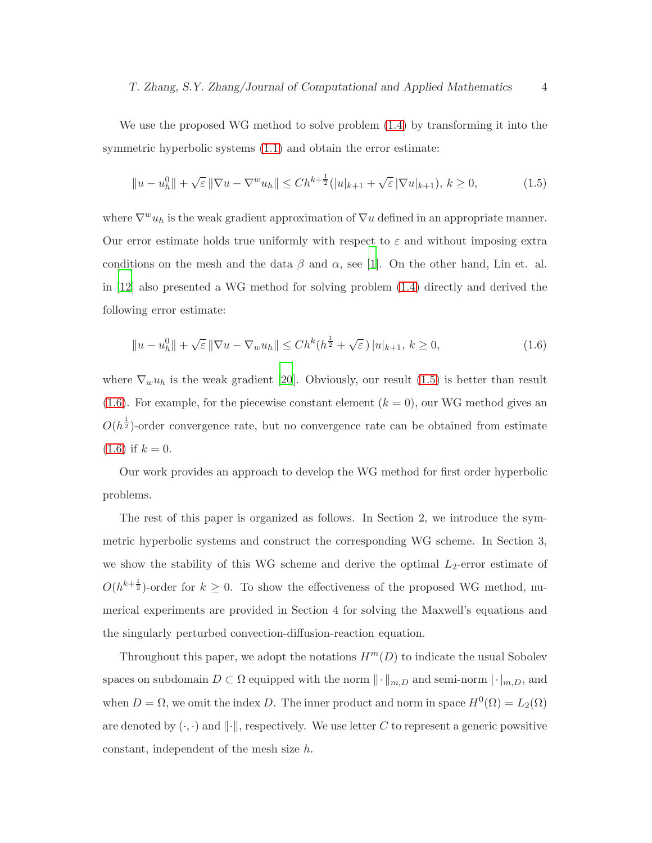We use the proposed WG method to solve problem [\(1.4\)](#page-2-0) by transforming it into the symmetric hyperbolic systems [\(1.1\)](#page-0-0) and obtain the error estimate:

<span id="page-3-0"></span>
$$
||u - u_h^0|| + \sqrt{\varepsilon} ||\nabla u - \nabla^w u_h|| \le Ch^{k + \frac{1}{2}} (|u|_{k+1} + \sqrt{\varepsilon} |\nabla u|_{k+1}), \ k \ge 0,
$$
 (1.5)

where  $\nabla^w u_h$  is the weak gradient approximation of  $\nabla u$  defined in an appropriate manner. Our error estimate holds true uniformly with respect to  $\varepsilon$  and without imposing extra conditions on the mesh and the data  $\beta$  and  $\alpha$ , see [\[1](#page-21-5)]. On the other hand, Lin et. al. in [\[12](#page-22-9)] also presented a WG method for solving problem [\(1.4\)](#page-2-0) directly and derived the following error estimate:

<span id="page-3-1"></span>
$$
||u - u_h^0|| + \sqrt{\varepsilon} ||\nabla u - \nabla_w u_h|| \le Ch^k(h^{\frac{1}{2}} + \sqrt{\varepsilon}) |u|_{k+1}, k \ge 0,
$$
\n(1.6)

where  $\nabla_w u_h$  is the weak gradient [\[20\]](#page-22-7). Obviously, our result [\(1.5\)](#page-3-0) is better than result [\(1.6\)](#page-3-1). For example, for the piecewise constant element  $(k = 0)$ , our WG method gives an  $O(h^{\frac{1}{2}})$ -order convergence rate, but no convergence rate can be obtained from estimate  $(1.6)$  if  $k = 0$ .

Our work provides an approach to develop the WG method for first order hyperbolic problems.

The rest of this paper is organized as follows. In Section 2, we introduce the symmetric hyperbolic systems and construct the corresponding WG scheme. In Section 3, we show the stability of this WG scheme and derive the optimal  $L_2$ -error estimate of  $O(h^{k+\frac{1}{2}})$ -order for  $k \geq 0$ . To show the effectiveness of the proposed WG method, numerical experiments are provided in Section 4 for solving the Maxwell's equations and the singularly perturbed convection-diffusion-reaction equation.

Throughout this paper, we adopt the notations  $H^m(D)$  to indicate the usual Sobolev spaces on subdomain  $D \subset \Omega$  equipped with the norm  $\|\cdot\|_{m,D}$  and semi-norm  $|\cdot|_{m,D}$ , and when  $D = \Omega$ , we omit the index D. The inner product and norm in space  $H^0(\Omega) = L_2(\Omega)$ are denoted by  $(\cdot, \cdot)$  and  $\|\cdot\|$ , respectively. We use letter C to represent a generic powsitive constant, independent of the mesh size h.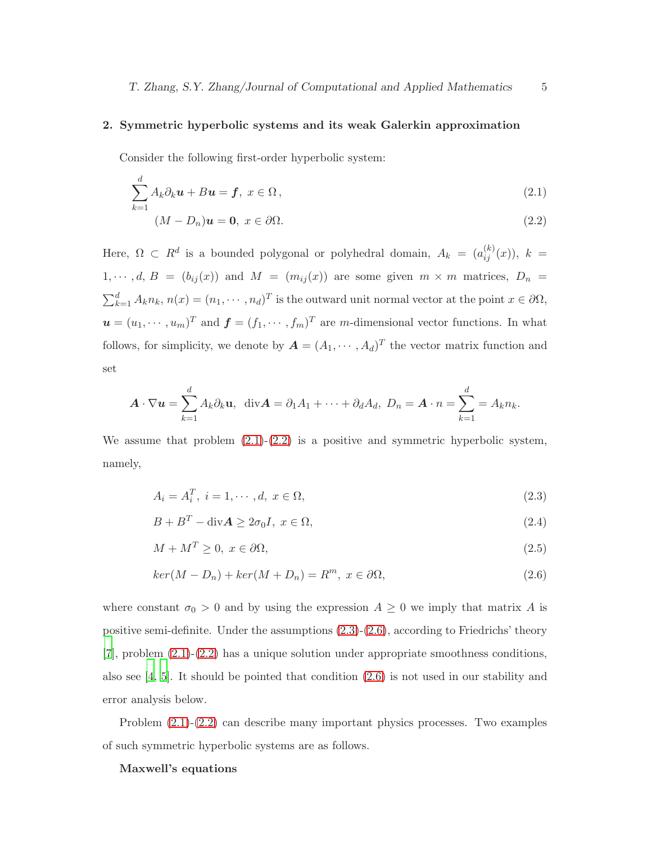# 2. Symmetric hyperbolic systems and its weak Galerkin approximation

Consider the following first-order hyperbolic system:

<span id="page-4-0"></span>
$$
\sum_{k=1}^{d} A_k \partial_k \mathbf{u} + B \mathbf{u} = \mathbf{f}, \ x \in \Omega \,, \tag{2.1}
$$

$$
(M - D_n)\mathbf{u} = \mathbf{0}, \ x \in \partial\Omega.
$$
 (2.2)

Here,  $\Omega \subset R^d$  is a bounded polygonal or polyhedral domain,  $A_k = (a_{ij}^{(k)}(x))$ ,  $k =$  $1, \dots, d, B = (b_{ij}(x))$  and  $M = (m_{ij}(x))$  are some given  $m \times m$  matrices,  $D_n =$  $\sum_{k=1}^{d} A_k n_k$ ,  $n(x) = (n_1, \dots, n_d)^T$  is the outward unit normal vector at the point  $x \in \partial \Omega$ ,  $\mathbf{u} = (u_1, \dots, u_m)^T$  and  $\mathbf{f} = (f_1, \dots, f_m)^T$  are m-dimensional vector functions. In what follows, for simplicity, we denote by  $\mathbf{A} = (A_1, \dots, A_d)^T$  the vector matrix function and set

$$
\mathbf{A} \cdot \nabla \mathbf{u} = \sum_{k=1}^d A_k \partial_k \mathbf{u}, \quad \text{div}\mathbf{A} = \partial_1 A_1 + \dots + \partial_d A_d, \ D_n = \mathbf{A} \cdot n = \sum_{k=1}^d A_k n_k.
$$

We assume that problem  $(2.1)-(2.2)$  $(2.1)-(2.2)$  is a positive and symmetric hyperbolic system, namely,

<span id="page-4-1"></span>
$$
A_i = A_i^T, \ i = 1, \cdots, d, \ x \in \Omega,
$$
\n
$$
(2.3)
$$

$$
B + BT - divA \ge 2\sigma_0 I, \ x \in \Omega,
$$
\n(2.4)

$$
M + M^T \ge 0, \ x \in \partial\Omega,\tag{2.5}
$$

$$
ker(M - D_n) + ker(M + D_n) = R^m, \ x \in \partial\Omega,
$$
\n
$$
(2.6)
$$

where constant  $\sigma_0 > 0$  and by using the expression  $A \geq 0$  we imply that matrix A is positive semi-definite. Under the assumptions [\(2.3\)](#page-4-1)-[\(2.6\)](#page-4-1), according to Friedrichs' theory [\[7\]](#page-21-7), problem [\(2.1\)](#page-4-0)-[\(2.2\)](#page-4-0) has a unique solution under appropriate smoothness conditions, also see  $\left[4, 5\right]$ . It should be pointed that condition  $\left(2.6\right)$  is not used in our stability and error analysis below.

Problem [\(2.1\)](#page-4-0)-[\(2.2\)](#page-4-0) can describe many important physics processes. Two examples of such symmetric hyperbolic systems are as follows.

#### Maxwell's equations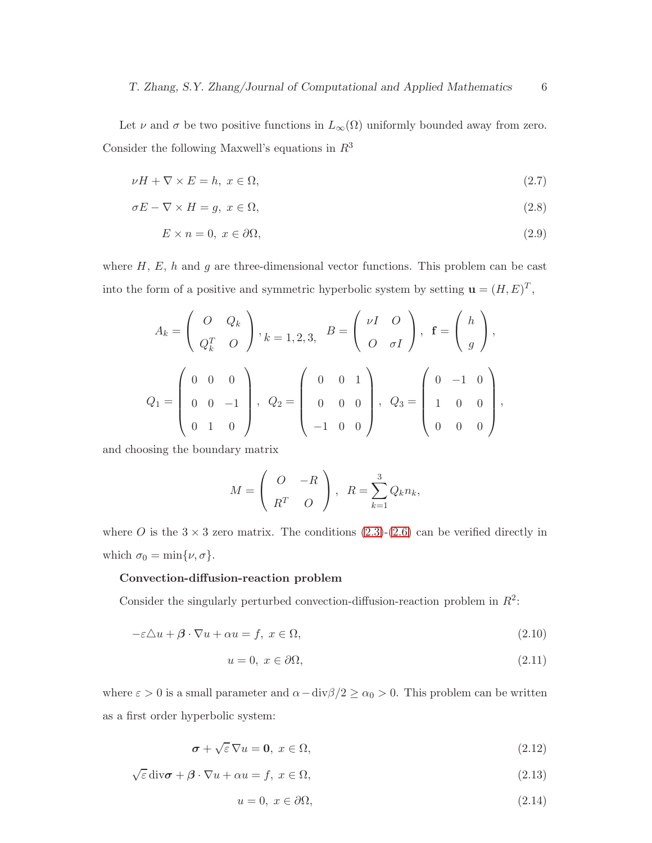Let  $\nu$  and  $\sigma$  be two positive functions in  $L_{\infty}(\Omega)$  uniformly bounded away from zero. Consider the following Maxwell's equations in  $R^3$ 

$$
\nu H + \nabla \times E = h, \ x \in \Omega,\tag{2.7}
$$

$$
\sigma E - \nabla \times H = g, \ x \in \Omega,\tag{2.8}
$$

$$
E \times n = 0, \ x \in \partial\Omega,\tag{2.9}
$$

where  $H, E, h$  and g are three-dimensional vector functions. This problem can be cast into the form of a positive and symmetric hyperbolic system by setting  $\mathbf{u} = (H, E)^T$ ,

$$
A_k = \begin{pmatrix} 0 & Q_k \\ Q_k^T & O \end{pmatrix}, k = 1, 2, 3, B = \begin{pmatrix} \nu I & O \\ O & \sigma I \end{pmatrix}, \mathbf{f} = \begin{pmatrix} h \\ g \end{pmatrix},
$$
  

$$
Q_1 = \begin{pmatrix} 0 & 0 & 0 \\ 0 & 0 & -1 \\ 0 & 1 & 0 \end{pmatrix}, Q_2 = \begin{pmatrix} 0 & 0 & 1 \\ 0 & 0 & 0 \\ -1 & 0 & 0 \end{pmatrix}, Q_3 = \begin{pmatrix} 0 & -1 & 0 \\ 1 & 0 & 0 \\ 0 & 0 & 0 \end{pmatrix},
$$

and choosing the boundary matrix

$$
M = \begin{pmatrix} O & -R \\ R^T & O \end{pmatrix}, R = \sum_{k=1}^3 Q_k n_k,
$$

where O is the  $3 \times 3$  zero matrix. The conditions  $(2.3)-(2.6)$  $(2.3)-(2.6)$  can be verified directly in which  $\sigma_0 = \min\{\nu, \sigma\}.$ 

# Convection-diffusion-reaction problem

Consider the singularly perturbed convection-diffusion-reaction problem in  $R^2$ :

<span id="page-5-0"></span>
$$
-\varepsilon \Delta u + \beta \cdot \nabla u + \alpha u = f, \ x \in \Omega,
$$
\n(2.10)

$$
u = 0, \ x \in \partial\Omega,\tag{2.11}
$$

where  $\varepsilon > 0$  is a small parameter and  $\alpha - \text{div}\beta/2 \ge \alpha_0 > 0$ . This problem can be written as a first order hyperbolic system:

<span id="page-5-1"></span>
$$
\sigma + \sqrt{\varepsilon} \,\nabla u = 0, \ x \in \Omega,
$$
\n(2.12)

 $\sqrt{\varepsilon} \operatorname{div} \boldsymbol{\sigma} + \boldsymbol{\beta} \cdot \nabla u + \alpha u = f, \ x \in \Omega,$ (2.13)

$$
u = 0, \ x \in \partial\Omega,\tag{2.14}
$$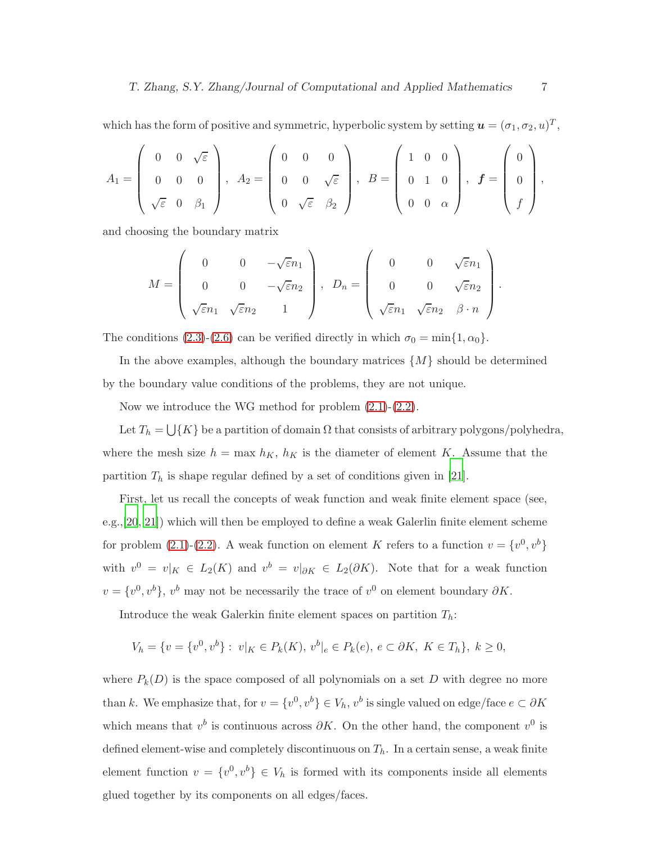which has the form of positive and symmetric, hyperbolic system by setting  $\boldsymbol{u} = (\sigma_1, \sigma_2, u)^T$ ,

$$
A_1 = \left(\begin{array}{ccc} 0 & 0 & \sqrt{\varepsilon} \\ 0 & 0 & 0 \\ \sqrt{\varepsilon} & 0 & \beta_1 \end{array}\right), \ \ A_2 = \left(\begin{array}{ccc} 0 & 0 & 0 \\ 0 & 0 & \sqrt{\varepsilon} \\ 0 & \sqrt{\varepsilon} & \beta_2 \end{array}\right), \ \ B = \left(\begin{array}{ccc} 1 & 0 & 0 \\ 0 & 1 & 0 \\ 0 & 0 & \alpha \end{array}\right), \ \ \mathbf{f} = \left(\begin{array}{c} 0 \\ 0 \\ f \end{array}\right),
$$

and choosing the boundary matrix

$$
M = \begin{pmatrix} 0 & 0 & -\sqrt{\varepsilon}n_1 \\ 0 & 0 & -\sqrt{\varepsilon}n_2 \\ \sqrt{\varepsilon}n_1 & \sqrt{\varepsilon}n_2 & 1 \end{pmatrix}, \quad D_n = \begin{pmatrix} 0 & 0 & \sqrt{\varepsilon}n_1 \\ 0 & 0 & \sqrt{\varepsilon}n_2 \\ \sqrt{\varepsilon}n_1 & \sqrt{\varepsilon}n_2 & \beta \cdot n \end{pmatrix}.
$$

The conditions [\(2.3\)](#page-4-1)-[\(2.6\)](#page-4-1) can be verified directly in which  $\sigma_0 = \min\{1, \alpha_0\}.$ 

In the above examples, although the boundary matrices  $\{M\}$  should be determined by the boundary value conditions of the problems, they are not unique.

Now we introduce the WG method for problem [\(2.1\)](#page-4-0)-[\(2.2\)](#page-4-0).

Let  $T_h = \bigcup \{K\}$  be a partition of domain  $\Omega$  that consists of arbitrary polygons/polyhedra, where the mesh size  $h = \max h_K$ ,  $h_K$  is the diameter of element K. Assume that the partition  $T_h$  is shape regular defined by a set of conditions given in [\[21\]](#page-22-13).

First, let us recall the concepts of weak function and weak finite element space (see, e.g.,[\[20](#page-22-7), [21\]](#page-22-13)) which will then be employed to define a weak Galerlin finite element scheme for problem [\(2.1\)](#page-4-0)-[\(2.2\)](#page-4-0). A weak function on element K refers to a function  $v = \{v^0, v^b\}$ with  $v^0 = v|_K \in L_2(K)$  and  $v^b = v|_{\partial K} \in L_2(\partial K)$ . Note that for a weak function  $v = \{v^0, v^b\}, v^b$  may not be necessarily the trace of  $v^0$  on element boundary  $\partial K$ .

Introduce the weak Galerkin finite element spaces on partition  $T_h$ :

$$
V_h = \{ v = \{ v^0, v^b \} : \ v|_K \in P_k(K), \ v^b|_e \in P_k(e), \ e \subset \partial K, \ K \in T_h \}, \ k \ge 0,
$$

where  $P_k(D)$  is the space composed of all polynomials on a set D with degree no more than k. We emphasize that, for  $v = \{v^0, v^b\} \in V_h$ ,  $v^b$  is single valued on edge/face  $e \subset \partial K$ which means that  $v^b$  is continuous across  $\partial K$ . On the other hand, the component  $v^0$  is defined element-wise and completely discontinuous on  $T_h$ . In a certain sense, a weak finite element function  $v = \{v^0, v^b\} \in V_h$  is formed with its components inside all elements glued together by its components on all edges/faces.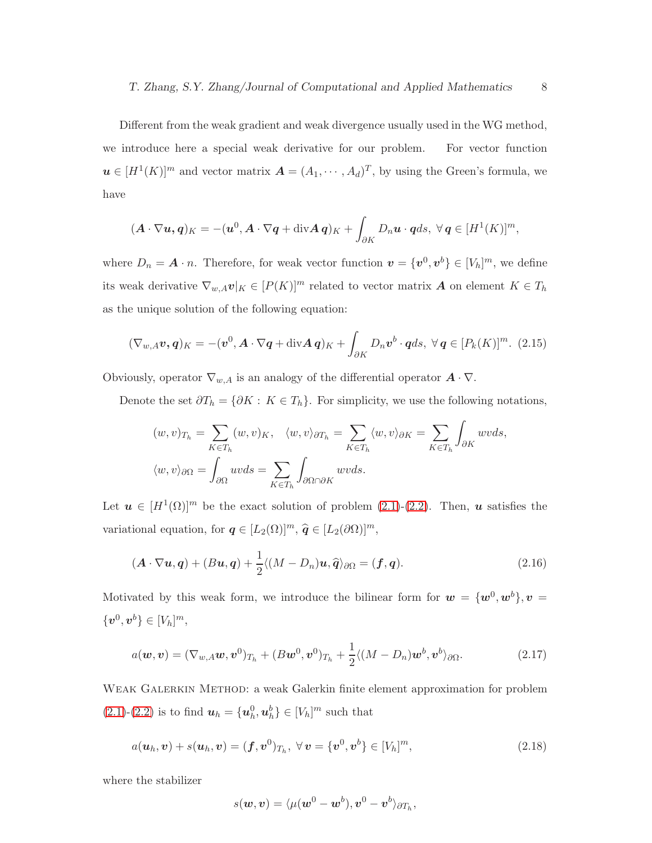Different from the weak gradient and weak divergence usually used in the WG method, we introduce here a special weak derivative for our problem. For vector function  $u \in [H^1(K)]^m$  and vector matrix  $\mathbf{A} = (A_1, \dots, A_d)^T$ , by using the Green's formula, we have

$$
(\boldsymbol{A}\cdot\nabla\boldsymbol{u},\boldsymbol{q})_K = -(\boldsymbol{u}^0,\boldsymbol{A}\cdot\nabla\boldsymbol{q}+\mathrm{div}\boldsymbol{A}\boldsymbol{q})_K + \int_{\partial K} D_n\boldsymbol{u}\cdot\boldsymbol{q}ds, \ \forall\boldsymbol{q}\in[H^1(K)]^m,
$$

where  $D_n = \mathbf{A} \cdot n$ . Therefore, for weak vector function  $\mathbf{v} = \{\mathbf{v}^0, \mathbf{v}^b\} \in [V_h]^m$ , we define its weak derivative  $\nabla_{w,A} \mathbf{v}|_K \in [P(K)]^m$  related to vector matrix **A** on element  $K \in T_h$ as the unique solution of the following equation:

<span id="page-7-1"></span>
$$
(\nabla_{w,A}\boldsymbol{v},\boldsymbol{q})_K = -(\boldsymbol{v}^0,\boldsymbol{A}\cdot\nabla\boldsymbol{q}+\operatorname{div}\boldsymbol{A}\boldsymbol{q})_K + \int_{\partial K} D_n \boldsymbol{v}^b \cdot \boldsymbol{q} ds, \ \forall \boldsymbol{q} \in [P_k(K)]^m. \tag{2.15}
$$

Obviously, operator  $\nabla_{w,A}$  is an analogy of the differential operator  $\mathbf{A} \cdot \nabla$ .

Denote the set  $\partial T_h = \{ \partial K : K \in T_h \}.$  For simplicity, we use the following notations,

$$
(w, v)_{T_h} = \sum_{K \in T_h} (w, v)_K, \quad \langle w, v \rangle_{\partial T_h} = \sum_{K \in T_h} \langle w, v \rangle_{\partial K} = \sum_{K \in T_h} \int_{\partial K} wv ds,
$$
  

$$
\langle w, v \rangle_{\partial \Omega} = \int_{\partial \Omega} uv ds = \sum_{K \in T_h} \int_{\partial \Omega \cap \partial K} wv ds.
$$

Let  $u \in [H^1(\Omega)]^m$  be the exact solution of problem [\(2.1\)](#page-4-0)-[\(2.2\)](#page-4-0). Then, u satisfies the variational equation, for  $q \in [L_2(\Omega)]^m$ ,  $\widehat{q} \in [L_2(\partial \Omega)]^m$ ,

$$
(\mathbf{A} \cdot \nabla \mathbf{u}, \mathbf{q}) + (B\mathbf{u}, \mathbf{q}) + \frac{1}{2} \langle (M - D_n)\mathbf{u}, \widehat{\mathbf{q}} \rangle_{\partial \Omega} = (\mathbf{f}, \mathbf{q}). \tag{2.16}
$$

Motivated by this weak form, we introduce the bilinear form for  $w = \{w^0, w^b\}$ ,  $v =$  $\{\boldsymbol{v}^0, \boldsymbol{v}^b\} \in [V_h]^m,$ 

<span id="page-7-2"></span>
$$
a(\boldsymbol{w},\boldsymbol{v}) = (\nabla_{\boldsymbol{w},A}\boldsymbol{w},\boldsymbol{v}^0)_{T_h} + (B\boldsymbol{w}^0,\boldsymbol{v}^0)_{T_h} + \frac{1}{2}\langle (M - D_n)\boldsymbol{w}^b,\boldsymbol{v}^b\rangle_{\partial\Omega}.
$$
 (2.17)

Weak Galerkin Method: a weak Galerkin finite element approximation for problem  $(2.1)-(2.2)$  $(2.1)-(2.2)$  $(2.1)-(2.2)$  is to find  $u_h = {u_h^0, u_h^b} \in [V_h]^m$  such that

$$
a(\mathbf{u}_h, \mathbf{v}) + s(\mathbf{u}_h, \mathbf{v}) = (\mathbf{f}, \mathbf{v}^0)_{T_h}, \ \forall \, \mathbf{v} = \{\mathbf{v}^0, \mathbf{v}^b\} \in [V_h]^m, \tag{2.18}
$$

where the stabilizer

<span id="page-7-0"></span>
$$
s(\boldsymbol{w},\boldsymbol{v})=\langle\mu(\boldsymbol{w}^0-\boldsymbol{w}^b),\boldsymbol{v}^0-\boldsymbol{v}^b\rangle_{\partial T_h},
$$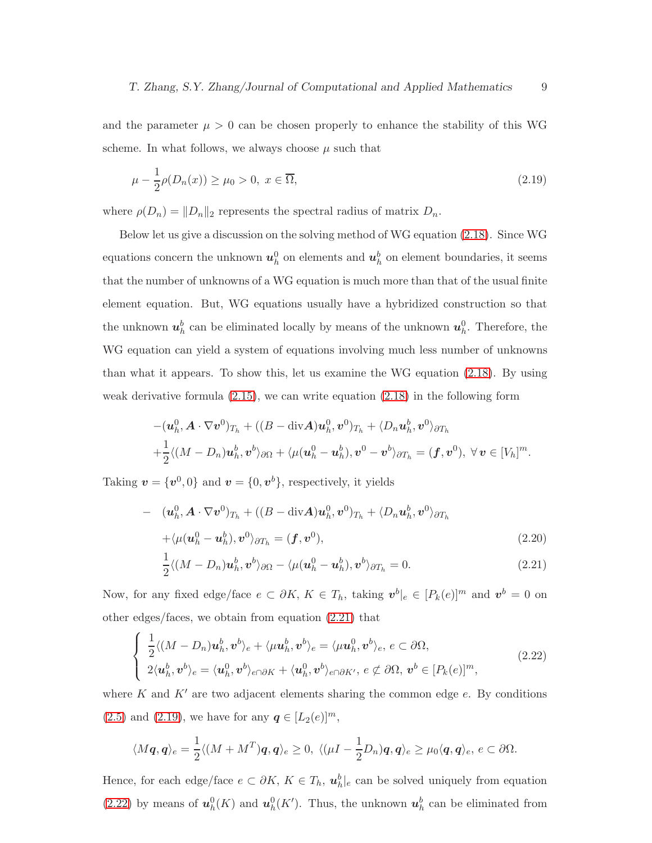and the parameter  $\mu > 0$  can be chosen properly to enhance the stability of this WG scheme. In what follows, we always choose  $\mu$  such that

<span id="page-8-1"></span>
$$
\mu - \frac{1}{2}\rho(D_n(x)) \ge \mu_0 > 0, \ x \in \overline{\Omega},\tag{2.19}
$$

where  $\rho(D_n) = ||D_n||_2$  represents the spectral radius of matrix  $D_n$ .

Below let us give a discussion on the solving method of WG equation [\(2.18\)](#page-7-0). Since WG equations concern the unknown  $u_h^0$  on elements and  $u_h^b$  on element boundaries, it seems that the number of unknowns of a WG equation is much more than that of the usual finite element equation. But, WG equations usually have a hybridized construction so that the unknown  $u_h^b$  can be eliminated locally by means of the unknown  $u_h^0$ . Therefore, the WG equation can yield a system of equations involving much less number of unknowns than what it appears. To show this, let us examine the WG equation [\(2.18\)](#page-7-0). By using weak derivative formula [\(2.15\)](#page-7-1), we can write equation [\(2.18\)](#page-7-0) in the following form

$$
-(\mathbf{u}_h^0, \mathbf{A} \cdot \nabla \mathbf{v}^0)_{T_h} + ((B - \text{div}\mathbf{A})\mathbf{u}_h^0, \mathbf{v}^0)_{T_h} + \langle D_n \mathbf{u}_h^b, \mathbf{v}^0 \rangle_{\partial T_h}
$$
  
+
$$
\frac{1}{2} \langle (M - D_n) \mathbf{u}_h^b, \mathbf{v}^b \rangle_{\partial \Omega} + \langle \mu(\mathbf{u}_h^0 - \mathbf{u}_h^b), \mathbf{v}^0 - \mathbf{v}^b \rangle_{\partial T_h} = (\mathbf{f}, \mathbf{v}^0), \ \forall \mathbf{v} \in [V_h]^m.
$$

Taking  $v = \{v^0, 0\}$  and  $v = \{0, v^b\}$ , respectively, it yields

<span id="page-8-0"></span>
$$
- (\boldsymbol{u}_h^0, \boldsymbol{A} \cdot \nabla \boldsymbol{v}^0)_{T_h} + ((\boldsymbol{B} - \text{div}\boldsymbol{A})\boldsymbol{u}_h^0, \boldsymbol{v}^0)_{T_h} + \langle D_n \boldsymbol{u}_h^b, \boldsymbol{v}^0 \rangle_{\partial T_h}
$$
  
+ $\langle \mu(\boldsymbol{u}_h^0 - \boldsymbol{u}_h^b), \boldsymbol{v}^0 \rangle_{\partial T_h} = (\boldsymbol{f}, \boldsymbol{v}^0),$  (2.20)

$$
\frac{1}{2}\langle (M - D_n)\mathbf{u}_h^b, \mathbf{v}^b \rangle_{\partial\Omega} - \langle \mu(\mathbf{u}_h^0 - \mathbf{u}_h^b), \mathbf{v}^b \rangle_{\partial T_h} = 0. \tag{2.21}
$$

Now, for any fixed edge/face  $e \subset \partial K$ ,  $K \in T_h$ , taking  $v^b|_e \in [P_k(e)]^m$  and  $v^b = 0$  on other edges/faces, we obtain from equation [\(2.21\)](#page-8-0) that

<span id="page-8-2"></span>
$$
\begin{cases}\n\frac{1}{2}\langle (M - D_n)\mathbf{u}_h^b, \mathbf{v}^b \rangle_e + \langle \mu \mathbf{u}_h^b, \mathbf{v}^b \rangle_e = \langle \mu \mathbf{u}_h^0, \mathbf{v}^b \rangle_e, e \subset \partial \Omega, \\
2\langle \mathbf{u}_h^b, \mathbf{v}^b \rangle_e = \langle \mathbf{u}_h^0, \mathbf{v}^b \rangle_{e \cap \partial K} + \langle \mathbf{u}_h^0, \mathbf{v}^b \rangle_{e \cap \partial K'}, e \not\subset \partial \Omega, \mathbf{v}^b \in [P_k(e)]^m,\n\end{cases}
$$
\n(2.22)

where K and  $K'$  are two adjacent elements sharing the common edge  $e$ . By conditions [\(2.5\)](#page-4-1) and [\(2.19\)](#page-8-1), we have for any  $q \in [L_2(e)]^m$ ,

$$
\langle M\mathbf{q},\mathbf{q}\rangle_e=\frac{1}{2}\langle (M+M^T)\mathbf{q},\mathbf{q}\rangle_e\geq 0,\ \langle (\mu I-\frac{1}{2}D_n)\mathbf{q},\mathbf{q}\rangle_e\geq \mu_0\langle \mathbf{q},\mathbf{q}\rangle_e,\ e\subset\partial\Omega.
$$

Hence, for each edge/face  $e \subset \partial K$ ,  $K \in T_h$ ,  $\mathbf{u}_h^b|_e$  can be solved uniquely from equation [\(2.22\)](#page-8-2) by means of  $\mathbf{u}_h^0(K)$  and  $\mathbf{u}_h^0(K')$ . Thus, the unknown  $\mathbf{u}_h^b$  can be eliminated from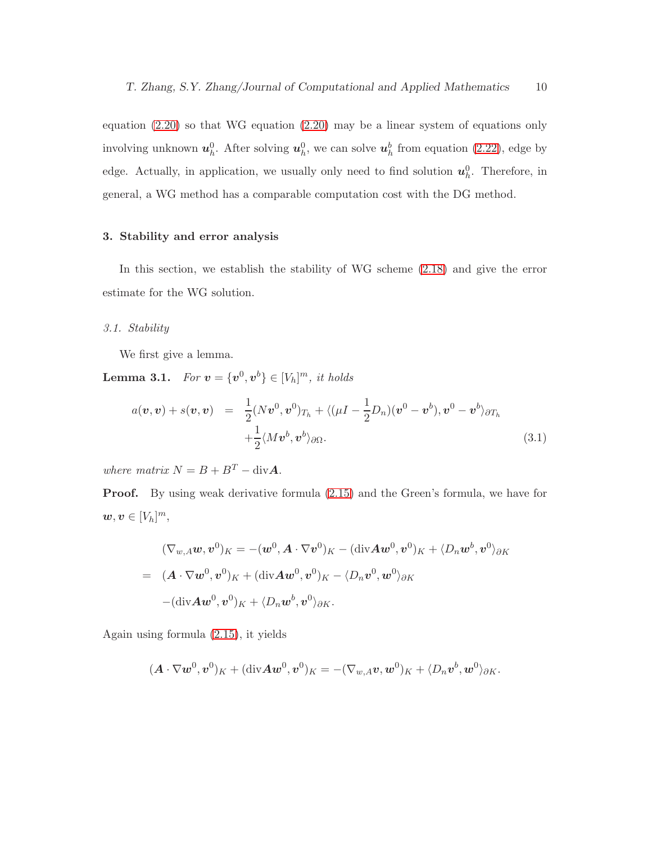equation [\(2.20\)](#page-8-0) so that WG equation [\(2.20\)](#page-8-0) may be a linear system of equations only involving unknown  $u_h^0$ . After solving  $u_h^0$ , we can solve  $u_h^b$  from equation [\(2.22\)](#page-8-2), edge by edge. Actually, in application, we usually only need to find solution  $u_h^0$ . Therefore, in general, a WG method has a comparable computation cost with the DG method.

# 3. Stability and error analysis

In this section, we establish the stability of WG scheme [\(2.18\)](#page-7-0) and give the error estimate for the WG solution.

## 3.1. Stability

We first give a lemma.

**Lemma 3.1.** For  $v = \{v^0, v^b\} \in [V_h]^m$ , it holds

$$
a(\boldsymbol{v}, \boldsymbol{v}) + s(\boldsymbol{v}, \boldsymbol{v}) = \frac{1}{2} (N \boldsymbol{v}^0, \boldsymbol{v}^0)_{T_h} + \langle (\mu I - \frac{1}{2} D_n) (\boldsymbol{v}^0 - \boldsymbol{v}^b), \boldsymbol{v}^0 - \boldsymbol{v}^b \rangle_{\partial T_h} + \frac{1}{2} \langle M \boldsymbol{v}^b, \boldsymbol{v}^b \rangle_{\partial \Omega}.
$$
 (3.1)

where matrix  $N = B + B<sup>T</sup> - div A$ .

Proof. By using weak derivative formula [\(2.15\)](#page-7-1) and the Green's formula, we have for  $w, v \in [V_h]^m$ ,

$$
(\nabla_{w,A}\boldsymbol{w},\boldsymbol{v}^{0})_{K} = -(\boldsymbol{w}^{0},\boldsymbol{A}\cdot\nabla\boldsymbol{v}^{0})_{K} - (\text{div}\boldsymbol{A}\boldsymbol{w}^{0},\boldsymbol{v}^{0})_{K} + \langle D_{n}\boldsymbol{w}^{b},\boldsymbol{v}^{0} \rangle_{\partial K}
$$
  
=  $(\boldsymbol{A}\cdot\nabla\boldsymbol{w}^{0},\boldsymbol{v}^{0})_{K} + (\text{div}\boldsymbol{A}\boldsymbol{w}^{0},\boldsymbol{v}^{0})_{K} - \langle D_{n}\boldsymbol{v}^{0},\boldsymbol{w}^{0} \rangle_{\partial K}$   
 $-(\text{div}\boldsymbol{A}\boldsymbol{w}^{0},\boldsymbol{v}^{0})_{K} + \langle D_{n}\boldsymbol{w}^{b},\boldsymbol{v}^{0} \rangle_{\partial K}.$ 

Again using formula [\(2.15\)](#page-7-1), it yields

$$
(\boldsymbol{A}\cdot\nabla\boldsymbol{w}^0,\boldsymbol{v}^0)_{K}+(\mathrm{div}\boldsymbol{A}\boldsymbol{w}^0,\boldsymbol{v}^0)_{K}=-(\nabla_{w,A}\boldsymbol{v},\boldsymbol{w}^0)_{K}+\langle D_n\boldsymbol{v}^b,\boldsymbol{w}^0\rangle_{\partial K}.
$$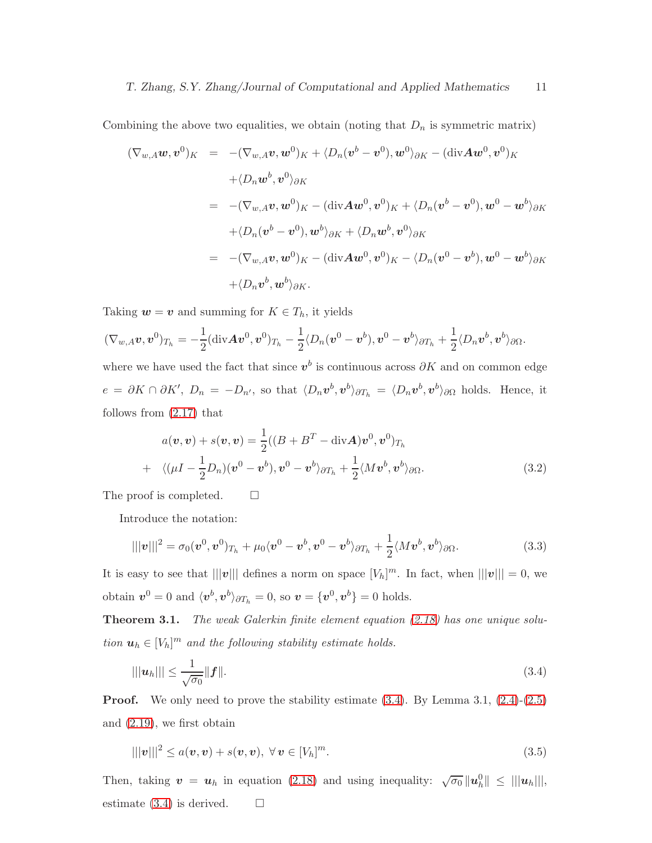Combining the above two equalities, we obtain (noting that  $D_n$  is symmetric matrix)

$$
(\nabla_{w,A}\boldsymbol{w},\boldsymbol{v}^{0})_{K} = -(\nabla_{w,A}\boldsymbol{v},\boldsymbol{w}^{0})_{K} + \langle D_{n}(\boldsymbol{v}^{b} - \boldsymbol{v}^{0}),\boldsymbol{w}^{0}\rangle_{\partial K} - (\text{div}\boldsymbol{A}\boldsymbol{w}^{0},\boldsymbol{v}^{0})_{K}
$$
  
+ $\langle D_{n}\boldsymbol{w}^{b},\boldsymbol{v}^{0}\rangle_{\partial K}$   
=  $-(\nabla_{w,A}\boldsymbol{v},\boldsymbol{w}^{0})_{K} - (\text{div}\boldsymbol{A}\boldsymbol{w}^{0},\boldsymbol{v}^{0})_{K} + \langle D_{n}(\boldsymbol{v}^{b} - \boldsymbol{v}^{0}),\boldsymbol{w}^{0} - \boldsymbol{w}^{b}\rangle_{\partial K}$   
+ $\langle D_{n}(\boldsymbol{v}^{b} - \boldsymbol{v}^{0}),\boldsymbol{w}^{b}\rangle_{\partial K} + \langle D_{n}\boldsymbol{w}^{b},\boldsymbol{v}^{0}\rangle_{\partial K}$   
=  $-(\nabla_{w,A}\boldsymbol{v},\boldsymbol{w}^{0})_{K} - (\text{div}\boldsymbol{A}\boldsymbol{w}^{0},\boldsymbol{v}^{0})_{K} - \langle D_{n}(\boldsymbol{v}^{0} - \boldsymbol{v}^{b}),\boldsymbol{w}^{0} - \boldsymbol{w}^{b}\rangle_{\partial K}$   
+ $\langle D_{n}\boldsymbol{v}^{b},\boldsymbol{w}^{b}\rangle_{\partial K}.$ 

Taking  $w = v$  and summing for  $K \in T_h$ , it yields

$$
(\nabla_{w,A} \boldsymbol v, \boldsymbol v^0)_{T_h} = -\frac{1}{2}(\text{div}\boldsymbol A \boldsymbol v^0, \boldsymbol v^0)_{T_h} - \frac{1}{2}\langle D_n(\boldsymbol v^0 - \boldsymbol v^b), \boldsymbol v^0 - \boldsymbol v^b\rangle_{\partial T_h} + \frac{1}{2}\langle D_n\boldsymbol v^b, \boldsymbol v^b\rangle_{\partial\Omega}.
$$

where we have used the fact that since  $v^b$  is continuous across  $\partial K$  and on common edge  $e = \partial K \cap \partial K'$ ,  $D_n = -D_{n'}$ , so that  $\langle D_n v^b, v^b \rangle_{\partial T_h} = \langle D_n v^b, v^b \rangle_{\partial \Omega}$  holds. Hence, it follows from [\(2.17\)](#page-7-2) that

$$
a(\boldsymbol{v}, \boldsymbol{v}) + s(\boldsymbol{v}, \boldsymbol{v}) = \frac{1}{2}((B + B^{T} - \text{div}\boldsymbol{A})\boldsymbol{v}^{0}, \boldsymbol{v}^{0})_{T_{h}}
$$
  
+  $\langle (\mu I - \frac{1}{2}D_{n})(\boldsymbol{v}^{0} - \boldsymbol{v}^{b}), \boldsymbol{v}^{0} - \boldsymbol{v}^{b} \rangle_{\partial T_{h}} + \frac{1}{2} \langle M\boldsymbol{v}^{b}, \boldsymbol{v}^{b} \rangle_{\partial\Omega}.$  (3.2)

The proof is completed.  $\square$ 

Introduce the notation:

$$
|||v|||^2 = \sigma_0(v^0, v^0)_{T_h} + \mu_0 \langle v^0 - v^b, v^0 - v^b \rangle_{\partial T_h} + \frac{1}{2} \langle Mv^b, v^b \rangle_{\partial \Omega}.
$$
\n(3.3)

It is easy to see that  $|||v|||$  defines a norm on space  $[V_h]^m$ . In fact, when  $|||v||| = 0$ , we obtain  $v^0 = 0$  and  $\langle v^b, v^b \rangle_{\partial T_h} = 0$ , so  $v = \{v^0, v^b\} = 0$  holds.

Theorem 3.1. The weak Galerkin finite element equation [\(2.18\)](#page-7-0) has one unique solution  $\mathbf{u}_h \in [V_h]^m$  and the following stability estimate holds.

<span id="page-10-0"></span>
$$
|||u_h||| \le \frac{1}{\sqrt{\sigma_0}} ||f||. \tag{3.4}
$$

**Proof.** We only need to prove the stability estimate  $(3.4)$ . By Lemma  $3.1$ ,  $(2.4)-(2.5)$  $(2.4)-(2.5)$ and [\(2.19\)](#page-8-1), we first obtain

<span id="page-10-1"></span>
$$
|||\mathbf{v}|||^2 \le a(\mathbf{v}, \mathbf{v}) + s(\mathbf{v}, \mathbf{v}), \ \forall \mathbf{v} \in [V_h]^m. \tag{3.5}
$$

Then, taking  $\mathbf{v} = \mathbf{u}_h$  in equation [\(2.18\)](#page-7-0) and using inequality:  $\sqrt{\sigma_0} ||\mathbf{u}_h|| \le |||\mathbf{u}_h||$ , estimate  $(3.4)$  is derived.  $\Box$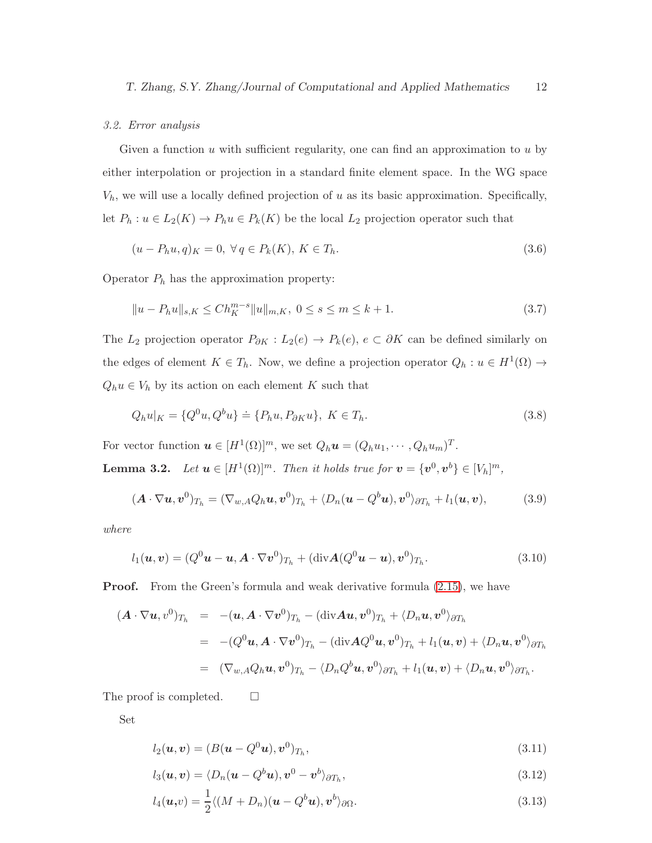#### 3.2. Error analysis

Given a function  $u$  with sufficient regularity, one can find an approximation to  $u$  by either interpolation or projection in a standard finite element space. In the WG space  $V_h$ , we will use a locally defined projection of u as its basic approximation. Specifically, let  $P_h: u \in L_2(K) \to P_h u \in P_k(K)$  be the local  $L_2$  projection operator such that

$$
(u - P_h u, q)_K = 0, \ \forall \, q \in P_k(K), \ K \in T_h. \tag{3.6}
$$

Operator  $P_h$  has the approximation property:

$$
||u - P_h u||_{s,K} \le C h_K^{m-s} ||u||_{m,K}, \ 0 \le s \le m \le k+1. \tag{3.7}
$$

The  $L_2$  projection operator  $P_{\partial K}: L_2(e) \to P_k(e)$ ,  $e \subset \partial K$  can be defined similarly on the edges of element  $K \in T_h$ . Now, we define a projection operator  $Q_h: u \in H^1(\Omega) \to$  $Q_h u \in V_h$  by its action on each element K such that

$$
Q_h u|_K = \{Q^0 u, Q^b u\} \doteq \{P_h u, P_{\partial K} u\}, \ K \in T_h. \tag{3.8}
$$

For vector function  $\mathbf{u} \in [H^1(\Omega)]^m$ , we set  $Q_h \mathbf{u} = (Q_h u_1, \dots, Q_h u_m)^T$ . **Lemma 3.2.** Let  $u \in [H^1(\Omega)]^m$ . Then it holds true for  $v = \{v^0, v^b\} \in [V_h]^m$ ,

$$
(\boldsymbol{A}\cdot\nabla\boldsymbol{u},\boldsymbol{v}^0)_{T_h}=(\nabla_{w,A}Q_h\boldsymbol{u},\boldsymbol{v}^0)_{T_h}+\langle D_n(\boldsymbol{u}-Q^b\boldsymbol{u}),\boldsymbol{v}^0\rangle_{\partial T_h}+l_1(\boldsymbol{u},\boldsymbol{v}),\qquad(3.9)
$$

where

<span id="page-11-0"></span>
$$
l_1(\boldsymbol{u},\boldsymbol{v}) = (Q^0\boldsymbol{u}-\boldsymbol{u}, \boldsymbol{A}\cdot\nabla\boldsymbol{v}^0)_{T_h} + (\text{div}\boldsymbol{A}(Q^0\boldsymbol{u}-\boldsymbol{u}), \boldsymbol{v}^0)_{T_h}.
$$
\n(3.10)

**Proof.** From the Green's formula and weak derivative formula  $(2.15)$ , we have

$$
\begin{array}{rcl}\n(A \cdot \nabla \boldsymbol{u}, v^0)_{T_h} & = & -(\boldsymbol{u}, \boldsymbol{A} \cdot \nabla \boldsymbol{v}^0)_{T_h} - (\text{div} \boldsymbol{A} \boldsymbol{u}, \boldsymbol{v}^0)_{T_h} + \langle D_n \boldsymbol{u}, v^0 \rangle_{\partial T_h} \\
\\ & = & -(\boldsymbol{Q}^0 \boldsymbol{u}, \boldsymbol{A} \cdot \nabla \boldsymbol{v}^0)_{T_h} - (\text{div} \boldsymbol{A} \boldsymbol{Q}^0 \boldsymbol{u}, \boldsymbol{v}^0)_{T_h} + l_1(\boldsymbol{u}, \boldsymbol{v}) + \langle D_n \boldsymbol{u}, v^0 \rangle_{\partial T_h} \\
\\ & = & (\nabla_{\boldsymbol{w}, A} \boldsymbol{Q}_h \boldsymbol{u}, \boldsymbol{v}^0)_{T_h} - \langle D_n \boldsymbol{Q}^b \boldsymbol{u}, v^0 \rangle_{\partial T_h} + l_1(\boldsymbol{u}, \boldsymbol{v}) + \langle D_n \boldsymbol{u}, v^0 \rangle_{\partial T_h}.\n\end{array}
$$

The proof is completed.  $\square$ 

<span id="page-11-1"></span>Set

$$
l_2(\boldsymbol{u},\boldsymbol{v})=(B(\boldsymbol{u}-Q^0\boldsymbol{u}),\boldsymbol{v}^0)_{T_h},\qquad(3.11)
$$

$$
l_3(\boldsymbol{u},\boldsymbol{v}) = \langle D_n(\boldsymbol{u} - Q^b \boldsymbol{u}), \boldsymbol{v}^0 - \boldsymbol{v}^b \rangle_{\partial T_h},
$$
\n(3.12)

$$
l_4(\boldsymbol{u},v)=\frac{1}{2}\langle (M+D_n)(\boldsymbol{u}-Q^b\boldsymbol{u}),\boldsymbol{v}^b\rangle_{\partial\Omega}.
$$
\n(3.13)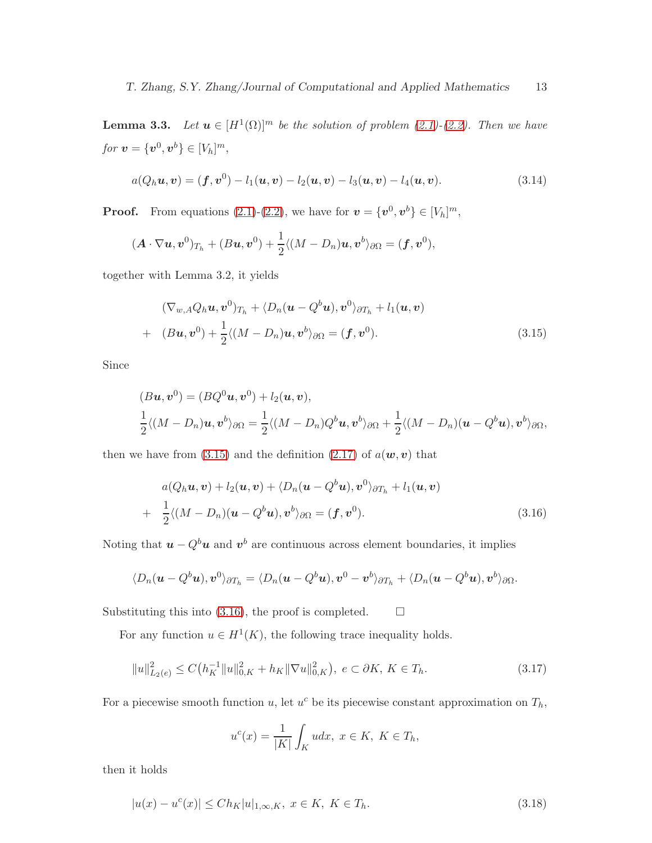**Lemma 3.3.** Let  $u \in [H^1(\Omega)]^m$  be the solution of problem  $(2.1)-(2.2)$  $(2.1)-(2.2)$ . Then we have for  $v = \{v^0, v^b\} \in [V_h]^m$ ,

<span id="page-12-2"></span>
$$
a(Q_hu, v) = (f, v^0) - l_1(u, v) - l_2(u, v) - l_3(u, v) - l_4(u, v).
$$
\n(3.14)

**Proof.** From equations [\(2.1\)](#page-4-0)-[\(2.2\)](#page-4-0), we have for  $\mathbf{v} = \{v^0, v^b\} \in [V_h]^m$ ,

$$
(\boldsymbol{A}\cdot\nabla\boldsymbol{u},\boldsymbol{v}^0)_{T_h}+(\boldsymbol{B}\boldsymbol{u},\boldsymbol{v}^0)+\frac{1}{2}\langle(M-D_n)\boldsymbol{u},\boldsymbol{v}^b\rangle_{\partial\Omega}=(\boldsymbol{f},\boldsymbol{v}^0),
$$

together with Lemma 3.2, it yields

<span id="page-12-0"></span>
$$
(\nabla_{w,A}Q_h\boldsymbol{u},\boldsymbol{v}^0)_{T_h} + \langle D_n(\boldsymbol{u}-Q^b\boldsymbol{u}),\boldsymbol{v}^0\rangle_{\partial T_h} + l_1(\boldsymbol{u},\boldsymbol{v})
$$
  
+ 
$$
(B\boldsymbol{u},\boldsymbol{v}^0) + \frac{1}{2}\langle (M-D_n)\boldsymbol{u},\boldsymbol{v}^b\rangle_{\partial\Omega} = (\boldsymbol{f},\boldsymbol{v}^0).
$$
 (3.15)

Since

$$
(Bu, v^0) = (BQ^0u, v^0) + l_2(u, v),
$$
  
\n
$$
\frac{1}{2}\langle (M - D_n)u, v^b \rangle_{\partial\Omega} = \frac{1}{2}\langle (M - D_n)Q^b u, v^b \rangle_{\partial\Omega} + \frac{1}{2}\langle (M - D_n)(u - Q^b u), v^b \rangle_{\partial\Omega},
$$

then we have from [\(3.15\)](#page-12-0) and the definition [\(2.17\)](#page-7-2) of  $a(\mathbf{w}, \mathbf{v})$  that

<span id="page-12-1"></span>
$$
a(Q_h \mathbf{u}, \mathbf{v}) + l_2(\mathbf{u}, \mathbf{v}) + \langle D_n(\mathbf{u} - Q^b \mathbf{u}), \mathbf{v}^0 \rangle_{\partial T_h} + l_1(\mathbf{u}, \mathbf{v})
$$
  
+ 
$$
\frac{1}{2} \langle (M - D_n)(\mathbf{u} - Q^b \mathbf{u}), \mathbf{v}^b \rangle_{\partial \Omega} = (\mathbf{f}, \mathbf{v}^0).
$$
(3.16)

Noting that  $u - Q^b u$  and  $v^b$  are continuous across element boundaries, it implies

$$
\langle D_n(\mathbf{u}-Q^b\mathbf{u}),\mathbf{v}^0\rangle_{\partial T_h}=\langle D_n(\mathbf{u}-Q^b\mathbf{u}),\mathbf{v}^0-\mathbf{v}^b\rangle_{\partial T_h}+\langle D_n(\mathbf{u}-Q^b\mathbf{u}),\mathbf{v}^b\rangle_{\partial\Omega}.
$$

Substituting this into [\(3.16\)](#page-12-1), the proof is completed.  $\Box$ 

For any function  $u \in H^1(K)$ , the following trace inequality holds.

$$
||u||_{L_2(e)}^2 \le C\left(h_K^{-1}||u||_{0,K}^2 + h_K||\nabla u||_{0,K}^2\right), \ e \subset \partial K, \ K \in T_h. \tag{3.17}
$$

For a piecewise smooth function u, let  $u^c$  be its piecewise constant approximation on  $T_h$ ,

$$
u^{c}(x) = \frac{1}{|K|} \int_{K} u dx, \ x \in K, \ K \in T_{h},
$$

then it holds

$$
|u(x) - u^{c}(x)| \leq Ch_K |u|_{1,\infty,K}, \ x \in K, \ K \in T_h.
$$
\n(3.18)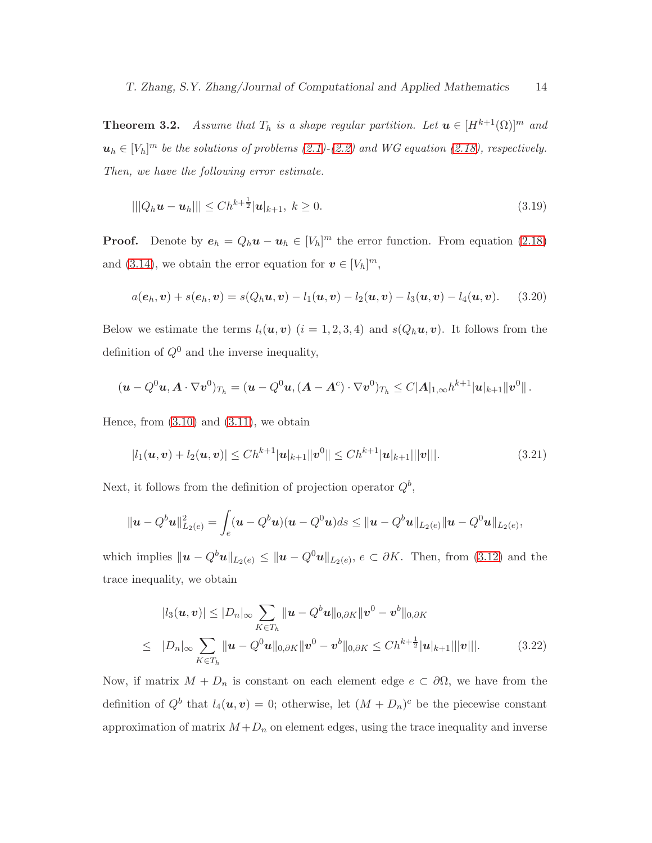**Theorem 3.2.** Assume that  $T_h$  is a shape regular partition. Let  $u \in [H^{k+1}(\Omega)]^m$  and  $u_h \in [V_h]^m$  be the solutions of problems [\(2.1\)](#page-4-0)-[\(2.2\)](#page-4-0) and WG equation [\(2.18\)](#page-7-0), respectively. Then, we have the following error estimate.

$$
|||Q_h \mathbf{u} - \mathbf{u}_h||| \le Ch^{k + \frac{1}{2}} |\mathbf{u}|_{k+1}, \ k \ge 0.
$$
\n(3.19)

**Proof.** Denote by  $e_h = Q_h \mathbf{u} - \mathbf{u}_h \in [V_h]^m$  the error function. From equation [\(2.18\)](#page-7-0) and [\(3.14\)](#page-12-2), we obtain the error equation for  $v \in [V_h]^m$ ,

<span id="page-13-1"></span>
$$
a(e_h, v) + s(e_h, v) = s(Q_h u, v) - l_1(u, v) - l_2(u, v) - l_3(u, v) - l_4(u, v).
$$
 (3.20)

Below we estimate the terms  $l_i(\mathbf{u}, \mathbf{v})$   $(i = 1, 2, 3, 4)$  and  $s(Q_h\mathbf{u}, \mathbf{v})$ . It follows from the definition of  $Q^0$  and the inverse inequality,

$$
(\boldsymbol{u}-Q^0\boldsymbol{u},\boldsymbol{A}\cdot\nabla\boldsymbol{v}^0)_{T_h}=(\boldsymbol{u}-Q^0\boldsymbol{u},(\boldsymbol{A}-\boldsymbol{A}^c)\cdot\nabla\boldsymbol{v}^0)_{T_h}\leq C|\boldsymbol{A}|_{1,\infty}h^{k+1}|\boldsymbol{u}|_{k+1}\|\boldsymbol{v}^0\|.
$$

Hence, from  $(3.10)$  and  $(3.11)$ , we obtain

<span id="page-13-0"></span>
$$
|l_1(\boldsymbol{u}, \boldsymbol{v}) + l_2(\boldsymbol{u}, \boldsymbol{v})| \leq Ch^{k+1} |\boldsymbol{u}|_{k+1} ||\boldsymbol{v}^0|| \leq Ch^{k+1} |\boldsymbol{u}|_{k+1} |||\boldsymbol{v}||. \tag{3.21}
$$

Next, it follows from the definition of projection operator  $Q^b$ ,

$$
\|\mathbf{u}-Q^b\mathbf{u}\|_{L_2(e)}^2=\int_e(\mathbf{u}-Q^b\mathbf{u})(\mathbf{u}-Q^0\mathbf{u})ds\leq \|\mathbf{u}-Q^b\mathbf{u}\|_{L_2(e)}\|\mathbf{u}-Q^0\mathbf{u}\|_{L_2(e)},
$$

which implies  $\|\boldsymbol{u} - Q^b \boldsymbol{u}\|_{L_2(e)} \leq \|\boldsymbol{u} - Q^0 \boldsymbol{u}\|_{L_2(e)}$ ,  $e \subset \partial K$ . Then, from [\(3.12\)](#page-11-1) and the trace inequality, we obtain

$$
|l_3(\boldsymbol{u}, \boldsymbol{v})| \leq |D_n|_{\infty} \sum_{K \in T_h} \|\boldsymbol{u} - Q^b \boldsymbol{u}\|_{0, \partial K} \|\boldsymbol{v}^0 - \boldsymbol{v}^b\|_{0, \partial K}
$$
  
\n
$$
\leq |D_n|_{\infty} \sum_{K \in T_h} \|\boldsymbol{u} - Q^0 \boldsymbol{u}\|_{0, \partial K} \|\boldsymbol{v}^0 - \boldsymbol{v}^b\|_{0, \partial K} \leq Ch^{k + \frac{1}{2}} |\boldsymbol{u}|_{k+1} ||\|\boldsymbol{v}\||. \tag{3.22}
$$

Now, if matrix  $M + D_n$  is constant on each element edge  $e \subset \partial \Omega$ , we have from the definition of  $Q^b$  that  $l_4(\boldsymbol{u}, \boldsymbol{v}) = 0$ ; otherwise, let  $(M + D_n)^c$  be the piecewise constant approximation of matrix  $M + D_n$  on element edges, using the trace inequality and inverse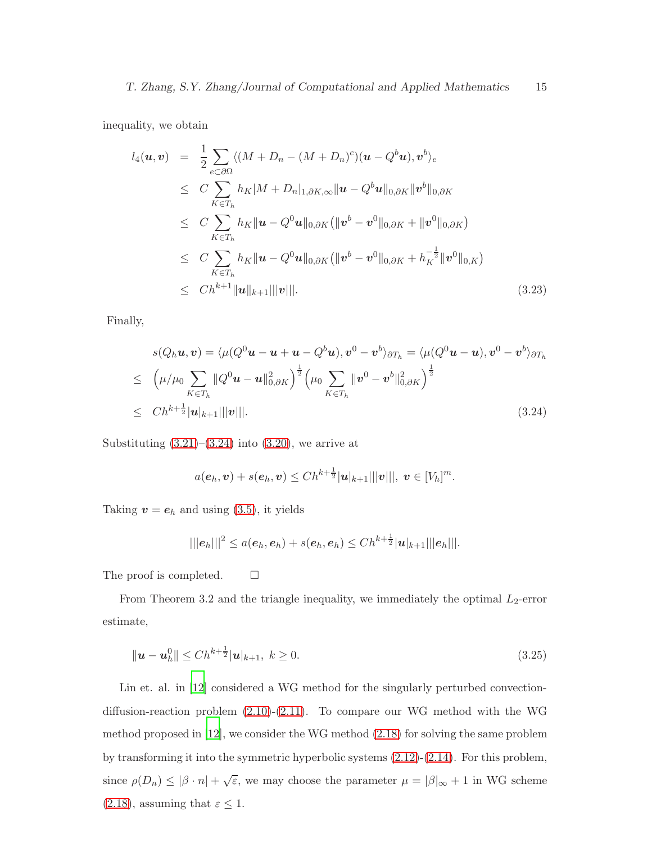inequality, we obtain

$$
l_4(\boldsymbol{u}, \boldsymbol{v}) = \frac{1}{2} \sum_{e \subset \partial \Omega} \langle (M + D_n - (M + D_n)^c)(\boldsymbol{u} - Q^b \boldsymbol{u}), \boldsymbol{v}^b \rangle_e
$$
  
\n
$$
\leq C \sum_{K \in T_h} h_K |M + D_n|_{1, \partial K, \infty} ||\boldsymbol{u} - Q^b \boldsymbol{u}||_{0, \partial K} ||\boldsymbol{v}^b||_{0, \partial K}
$$
  
\n
$$
\leq C \sum_{K \in T_h} h_K ||\boldsymbol{u} - Q^0 \boldsymbol{u}||_{0, \partial K} (||\boldsymbol{v}^b - \boldsymbol{v}^0||_{0, \partial K} + ||\boldsymbol{v}^0||_{0, \partial K})
$$
  
\n
$$
\leq C \sum_{K \in T_h} h_K ||\boldsymbol{u} - Q^0 \boldsymbol{u}||_{0, \partial K} (||\boldsymbol{v}^b - \boldsymbol{v}^0||_{0, \partial K} + h_K^{-\frac{1}{2}} ||\boldsymbol{v}^0||_{0, K})
$$
  
\n
$$
\leq Ch^{k+1} ||\boldsymbol{u}||_{k+1} |||\boldsymbol{v}|| |.
$$
\n(3.23)

Finally,

<span id="page-14-0"></span>
$$
s(Q_h \mathbf{u}, \mathbf{v}) = \langle \mu(Q^0 \mathbf{u} - \mathbf{u} + \mathbf{u} - Q^b \mathbf{u}), \mathbf{v}^0 - \mathbf{v}^b \rangle_{\partial T_h} = \langle \mu(Q^0 \mathbf{u} - \mathbf{u}), \mathbf{v}^0 - \mathbf{v}^b \rangle_{\partial T_h}
$$
  
\n
$$
\leq \left( \mu/\mu_0 \sum_{K \in T_h} ||Q^0 \mathbf{u} - \mathbf{u}||_{0,\partial K}^2 \right)^{\frac{1}{2}} \left( \mu_0 \sum_{K \in T_h} ||\mathbf{v}^0 - \mathbf{v}^b||_{0,\partial K}^2 \right)^{\frac{1}{2}}
$$
  
\n
$$
\leq Ch^{k + \frac{1}{2}} |\mathbf{u}|_{k+1} ||\mathbf{v}|| |.
$$
\n(3.24)

Substituting  $(3.21)$ – $(3.24)$  into  $(3.20)$ , we arrive at

$$
a(e_h, v) + s(e_h, v) \leq Ch^{k + \frac{1}{2}} |u|_{k+1} |||v|||, v \in [V_h]^m.
$$

Taking  $v = e_h$  and using [\(3.5\)](#page-10-1), it yields

$$
|||e_h|||^2 \leq a(e_h, e_h) + s(e_h, e_h) \leq Ch^{k+\frac{1}{2}}|u|_{k+1}|||e_h|||.
$$

The proof is completed.  $\square$ 

From Theorem 3.2 and the triangle inequality, we immediately the optimal  $L_2$ -error estimate,

$$
\|\mathbf{u} - \mathbf{u}_h^0\| \le C h^{k + \frac{1}{2}} |\mathbf{u}|_{k+1}, \ k \ge 0. \tag{3.25}
$$

Lin et. al. in [\[12\]](#page-22-9) considered a WG method for the singularly perturbed convectiondiffusion-reaction problem [\(2.10\)](#page-5-0)-[\(2.11\)](#page-5-0). To compare our WG method with the WG method proposed in [\[12](#page-22-9)], we consider the WG method [\(2.18\)](#page-7-0) for solving the same problem by transforming it into the symmetric hyperbolic systems [\(2.12\)](#page-5-1)-[\(2.14\)](#page-5-1). For this problem, since  $\rho(D_n) \leq |\beta \cdot n| + \sqrt{\varepsilon}$ , we may choose the parameter  $\mu = |\beta|_{\infty} + 1$  in WG scheme [\(2.18\)](#page-7-0), assuming that  $\varepsilon \leq 1$ .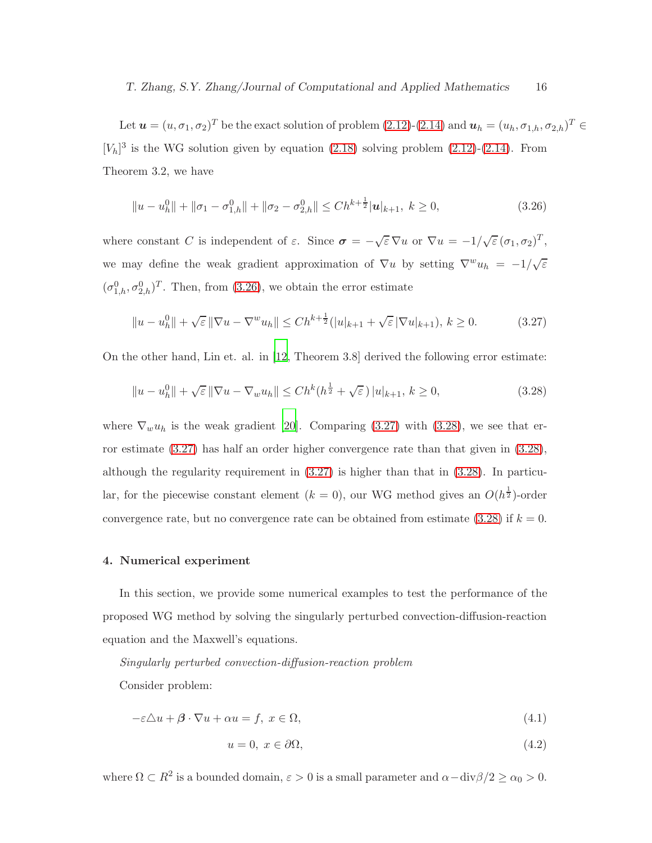Let  $\mathbf{u} = (u, \sigma_1, \sigma_2)^T$  be the exact solution of problem  $(2.12)-(2.14)$  $(2.12)-(2.14)$  and  $\mathbf{u}_h = (u_h, \sigma_{1,h}, \sigma_{2,h})^T \in$  $[V_h]^3$  is the WG solution given by equation [\(2.18\)](#page-7-0) solving problem [\(2.12\)](#page-5-1)-[\(2.14\)](#page-5-1). From Theorem 3.2, we have

<span id="page-15-0"></span>
$$
||u - u_h^0|| + ||\sigma_1 - \sigma_{1,h}^0|| + ||\sigma_2 - \sigma_{2,h}^0|| \le Ch^{k + \frac{1}{2}} |u|_{k+1}, \ k \ge 0,
$$
\n(3.26)

where constant C is independent of  $\varepsilon$ . Since  $\sigma = -\sqrt{\varepsilon} \nabla u$  or  $\nabla u = -1/\sqrt{\varepsilon} (\sigma_1, \sigma_2)^T$ , we may define the weak gradient approximation of  $\nabla u$  by setting  $\nabla^w u_h = -1/\sqrt{\varepsilon}$  $(\sigma_{1,h}^0, \sigma_{2,h}^0)^T$ . Then, from [\(3.26\)](#page-15-0), we obtain the error estimate

<span id="page-15-2"></span><span id="page-15-1"></span>
$$
||u - u_h^0|| + \sqrt{\varepsilon} ||\nabla u - \nabla^w u_h|| \le Ch^{k + \frac{1}{2}} (|u|_{k+1} + \sqrt{\varepsilon} |\nabla u|_{k+1}), \, k \ge 0. \tag{3.27}
$$

On the other hand, Lin et. al. in [\[12,](#page-22-9) Theorem 3.8] derived the following error estimate:

$$
||u - u_h^0|| + \sqrt{\varepsilon} ||\nabla u - \nabla_w u_h|| \le Ch^k(h^{\frac{1}{2}} + \sqrt{\varepsilon}) |u|_{k+1}, k \ge 0,
$$
\n(3.28)

where  $\nabla_w u_h$  is the weak gradient [\[20\]](#page-22-7). Comparing [\(3.27\)](#page-15-1) with [\(3.28\)](#page-15-2), we see that error estimate [\(3.27\)](#page-15-1) has half an order higher convergence rate than that given in [\(3.28\)](#page-15-2), although the regularity requirement in [\(3.27\)](#page-15-1) is higher than that in [\(3.28\)](#page-15-2). In particular, for the piecewise constant element  $(k = 0)$ , our WG method gives an  $O(h^{\frac{1}{2}})$ -order convergence rate, but no convergence rate can be obtained from estimate  $(3.28)$  if  $k = 0$ .

# 4. Numerical experiment

In this section, we provide some numerical examples to test the performance of the proposed WG method by solving the singularly perturbed convection-diffusion-reaction equation and the Maxwell's equations.

### Singularly perturbed convection-diffusion-reaction problem

Consider problem:

<span id="page-15-3"></span>
$$
-\varepsilon \Delta u + \beta \cdot \nabla u + \alpha u = f, \ x \in \Omega,
$$
\n(4.1)

$$
u = 0, \ x \in \partial\Omega,\tag{4.2}
$$

where  $\Omega \subset R^2$  is a bounded domain,  $\varepsilon > 0$  is a small parameter and  $\alpha - \text{div}\beta/2 \ge \alpha_0 > 0$ .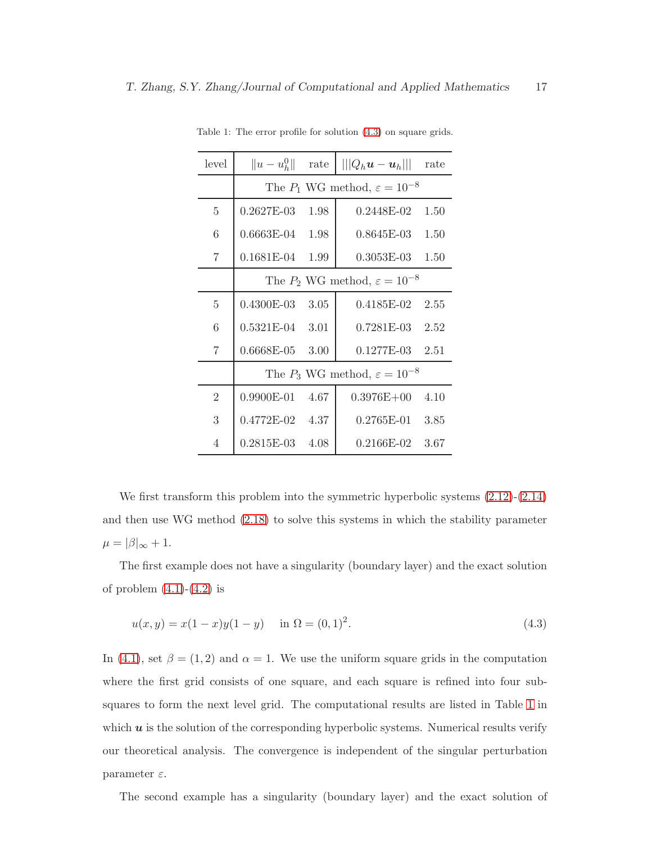<span id="page-16-1"></span>

| level          | $  u - u_h^0  $                              | rate | $   Q_h u - u_h   $ | rate |  |
|----------------|----------------------------------------------|------|---------------------|------|--|
|                | The $P_1$ WG method, $\varepsilon = 10^{-8}$ |      |                     |      |  |
| 5              | $0.2627E-03$                                 | 1.98 | $0.2448E-02$        | 1.50 |  |
| 6              | $0.6663E-04$                                 | 1.98 | 0.8645E-03          | 1.50 |  |
| 7              | $0.1681E-04$                                 | 1.99 | $0.3053E-03$        | 1.50 |  |
|                | The $P_2$ WG method, $\varepsilon = 10^{-8}$ |      |                     |      |  |
| $\overline{5}$ | $0.4300E-03$                                 | 3.05 | 0.4185E-02          | 2.55 |  |
| 6              | 0.5321E-04                                   | 3.01 | $0.7281E-03$        | 2.52 |  |
| 7              | $0.6668E - 05$                               | 3.00 | $0.1277E-03$        | 2.51 |  |
|                | The $P_3$ WG method, $\varepsilon = 10^{-8}$ |      |                     |      |  |
| $\overline{2}$ | $0.9900E-01$                                 | 4.67 | $0.3976E + 00$      | 4.10 |  |
| 3              | 0.4772E-02                                   | 4.37 | $0.2765E-01$        | 3.85 |  |
| 4              | $0.2815$ E-03                                | 4.08 | 0.2166E-02          | 3.67 |  |

Table 1: The error profile for solution [\(4.3\)](#page-16-0) on square grids.

We first transform this problem into the symmetric hyperbolic systems  $(2.12)-(2.14)$  $(2.12)-(2.14)$ and then use WG method [\(2.18\)](#page-7-0) to solve this systems in which the stability parameter  $\mu = |\beta|_{\infty} + 1.$ 

The first example does not have a singularity (boundary layer) and the exact solution of problem  $(4.1)-(4.2)$  $(4.1)-(4.2)$  is

<span id="page-16-0"></span>
$$
u(x,y) = x(1-x)y(1-y) \quad \text{in } \Omega = (0,1)^2. \tag{4.3}
$$

In [\(4.1\)](#page-15-3), set  $\beta = (1, 2)$  and  $\alpha = 1$ . We use the uniform square grids in the computation where the first grid consists of one square, and each square is refined into four subsquares to form the next level grid. The computational results are listed in Table [1](#page-16-1) in which  $u$  is the solution of the corresponding hyperbolic systems. Numerical results verify our theoretical analysis. The convergence is independent of the singular perturbation parameter  $\varepsilon$ .

The second example has a singularity (boundary layer) and the exact solution of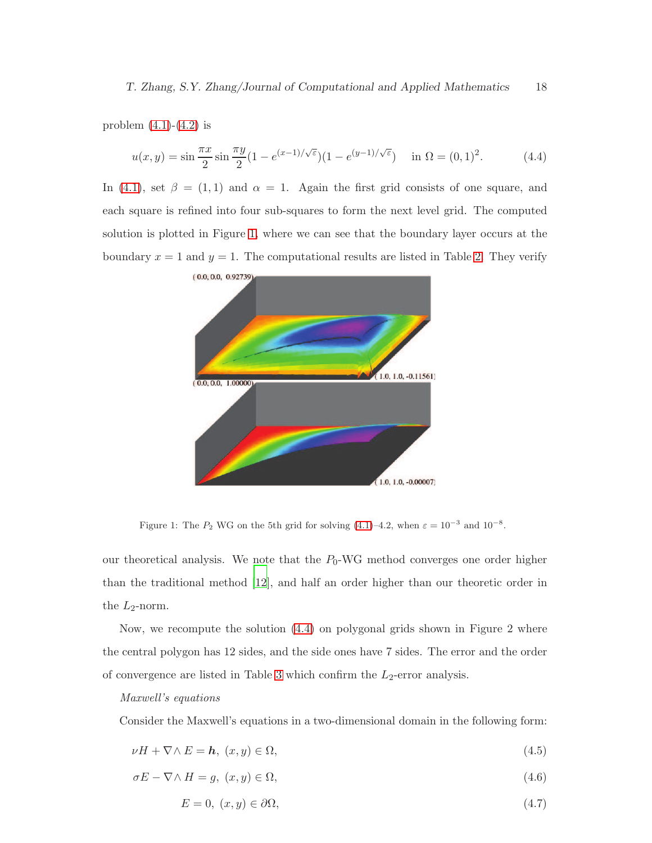problem  $(4.1)-(4.2)$  $(4.1)-(4.2)$  is

$$
u(x,y) = \sin\frac{\pi x}{2}\sin\frac{\pi y}{2}(1 - e^{(x-1)/\sqrt{\varepsilon}})(1 - e^{(y-1)/\sqrt{\varepsilon}}) \quad \text{in } \Omega = (0,1)^2. \tag{4.4}
$$

In [\(4.1\)](#page-15-3), set  $\beta = (1, 1)$  and  $\alpha = 1$ . Again the first grid consists of one square, and each square is refined into four sub-squares to form the next level grid. The computed solution is plotted in Figure [1,](#page-17-0) where we can see that the boundary layer occurs at the boundary  $x = 1$  and  $y = 1$ . The computational results are listed in Table [2.](#page-18-0) They verify

<span id="page-17-1"></span>

<span id="page-17-0"></span>Figure 1: The  $P_2$  WG on the 5th grid for solving [\(4.1\)](#page-15-3)–4.2, when  $\varepsilon = 10^{-3}$  and  $10^{-8}$ .

our theoretical analysis. We note that the  $P_0$ -WG method converges one order higher than the traditional method [\[12\]](#page-22-9), and half an order higher than our theoretic order in the  $L_2$ -norm.

Now, we recompute the solution [\(4.4\)](#page-17-1) on polygonal grids shown in Figure 2 where the central polygon has 12 sides, and the side ones have 7 sides. The error and the order of convergence are listed in Table [3](#page-19-0) which confirm the  $L_2$ -error analysis.

## Maxwell's equations

Consider the Maxwell's equations in a two-dimensional domain in the following form:

<span id="page-17-2"></span> $\nu H + \nabla \wedge E = h, \ (x, y) \in \Omega,$ (4.5)

$$
\sigma E - \nabla \wedge H = g, \ (x, y) \in \Omega,
$$
\n
$$
(4.6)
$$

 $E = 0, (x, y) \in \partial\Omega,$  (4.7)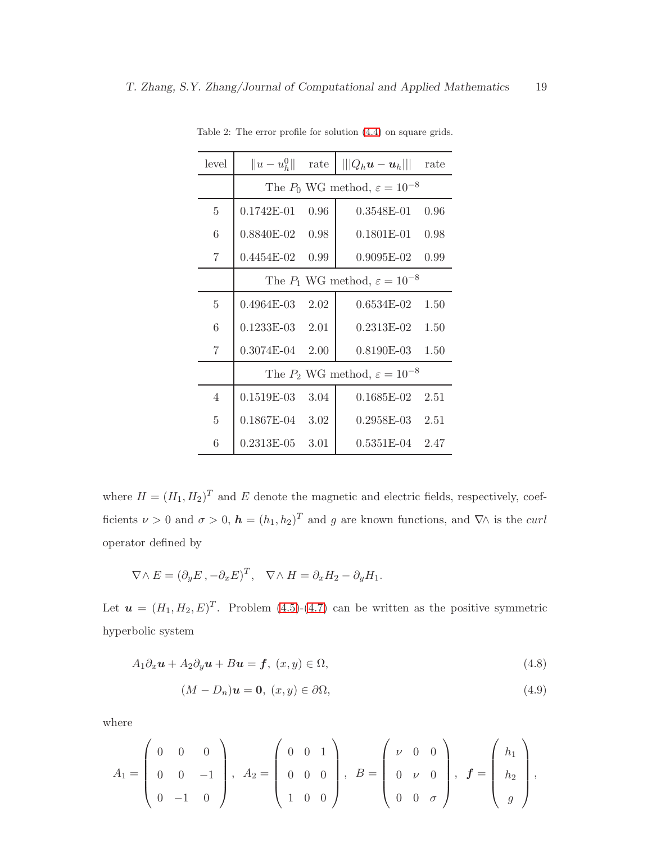<span id="page-18-0"></span>

| level          | $  u - u_h^0  $                              | rate | $   Q_h u - u_h   $ | rate |  |
|----------------|----------------------------------------------|------|---------------------|------|--|
|                | The $P_0$ WG method, $\varepsilon = 10^{-8}$ |      |                     |      |  |
| 5              | $0.1742E-01$                                 | 0.96 | 0.3548E-01          | 0.96 |  |
| 6              | 0.8840E-02                                   | 0.98 | 0.1801E-01          | 0.98 |  |
| 7              | $0.4454E-02$                                 | 0.99 | $0.9095E-02$        | 0.99 |  |
|                | The $P_1$ WG method, $\varepsilon = 10^{-8}$ |      |                     |      |  |
| 5              | $0.4964E-03$                                 | 2.02 | $0.6534E-02$        | 1.50 |  |
| 6              | $0.1233E-03$                                 | 2.01 | $0.2313E-02$        | 1.50 |  |
| 7              | $0.3074E-04$                                 | 2.00 | $0.8190E-03$        | 1.50 |  |
|                | The $P_2$ WG method, $\varepsilon = 10^{-8}$ |      |                     |      |  |
| $\overline{4}$ | $0.1519E-03$                                 | 3.04 | 0.1685E-02          | 2.51 |  |
| 5              | $0.1867E-04$                                 | 3.02 | $0.2958E-03$        | 2.51 |  |
| 6              | 0.2313E-05                                   | 3.01 | 0.5351E-04          | 2.47 |  |

Table 2: The error profile for solution [\(4.4\)](#page-17-1) on square grids.

where  $H = (H_1, H_2)^T$  and E denote the magnetic and electric fields, respectively, coefficients  $\nu > 0$  and  $\sigma > 0$ ,  $\mathbf{h} = (h_1, h_2)^T$  and g are known functions, and  $\nabla \wedge$  is the *curl* operator defined by

$$
\nabla \wedge E = (\partial_y E, -\partial_x E)^T, \quad \nabla \wedge H = \partial_x H_2 - \partial_y H_1.
$$

Let  $\mathbf{u} = (H_1, H_2, E)^T$ . Problem [\(4.5\)](#page-17-2)-[\(4.7\)](#page-17-2) can be written as the positive symmetric hyperbolic system

$$
A_1 \partial_x \mathbf{u} + A_2 \partial_y \mathbf{u} + B \mathbf{u} = \mathbf{f}, \ (x, y) \in \Omega,
$$
\n
$$
(4.8)
$$

$$
(M - D_n)\mathbf{u} = \mathbf{0}, \ (x, y) \in \partial\Omega,\tag{4.9}
$$

where

$$
A_1 = \begin{pmatrix} 0 & 0 & 0 \\ 0 & 0 & -1 \\ 0 & -1 & 0 \end{pmatrix}, A_2 = \begin{pmatrix} 0 & 0 & 1 \\ 0 & 0 & 0 \\ 1 & 0 & 0 \end{pmatrix}, B = \begin{pmatrix} \nu & 0 & 0 \\ 0 & \nu & 0 \\ 0 & 0 & \sigma \end{pmatrix}, f = \begin{pmatrix} h_1 \\ h_2 \\ g \end{pmatrix},
$$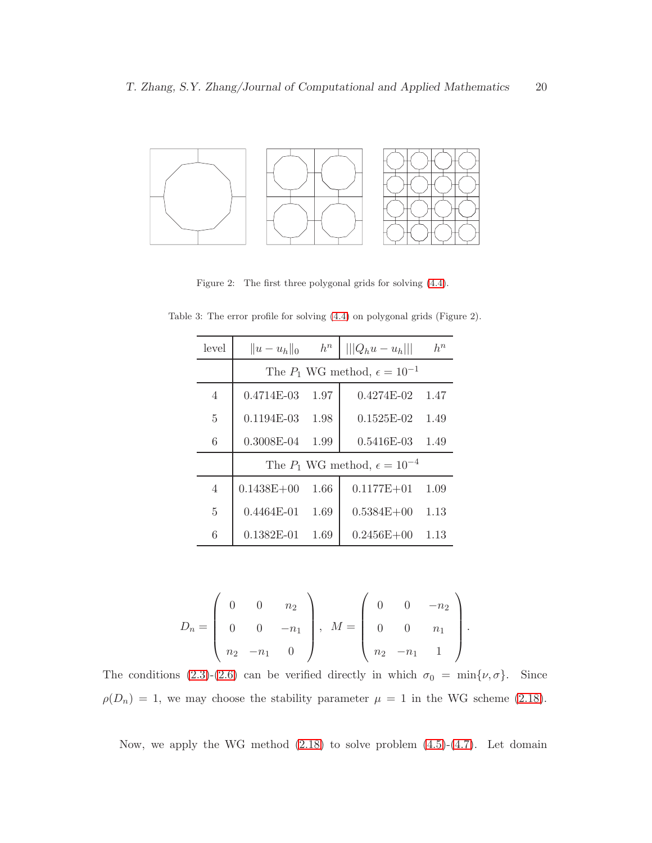

Figure 2: The first three polygonal grids for solving [\(4.4\)](#page-17-1).

<span id="page-19-0"></span>

| level          | $  u - u_h  _0$                           | $h^n$ | $   Q_hu-u_h   $ | $h^n$ |  |
|----------------|-------------------------------------------|-------|------------------|-------|--|
|                | The $P_1$ WG method, $\epsilon = 10^{-1}$ |       |                  |       |  |
| $\overline{4}$ | $0.4714E-03$                              | 1.97  | $0.4274E-02$     | 1.47  |  |
| $\overline{5}$ | $0.1194E-03$                              | 1.98  | $0.1525E-02$     | 1.49  |  |
| 6              | 0.3008E-04                                | 1.99  | 0.5416E-03       | 1.49  |  |
|                | The $P_1$ WG method, $\epsilon = 10^{-4}$ |       |                  |       |  |
| 4              | $0.1438E + 00$                            | 1.66  | $0.1177E + 01$   | 1.09  |  |
| 5              | $0.4464E-01$                              | 1.69  | $0.5384E + 00$   | 1.13  |  |
| 6              | $0.1382E - 01$                            | 1.69  | $0.2456E + 00$   | 1.13  |  |

Table 3: The error profile for solving [\(4.4\)](#page-17-1) on polygonal grids (Figure 2).

$$
D_n = \left(\begin{array}{ccc} 0 & 0 & n_2 \\ 0 & 0 & -n_1 \\ n_2 & -n_1 & 0 \end{array}\right), \ \ M = \left(\begin{array}{ccc} 0 & 0 & -n_2 \\ 0 & 0 & n_1 \\ n_2 & -n_1 & 1 \end{array}\right).
$$

The conditions [\(2.3\)](#page-4-1)-[\(2.6\)](#page-4-1) can be verified directly in which  $\sigma_0 = \min{\lbrace \nu, \sigma \rbrace}$ . Since  $\rho(D_n) = 1$ , we may choose the stability parameter  $\mu = 1$  in the WG scheme [\(2.18\)](#page-7-0).

Now, we apply the WG method  $(2.18)$  to solve problem  $(4.5)-(4.7)$  $(4.5)-(4.7)$ . Let domain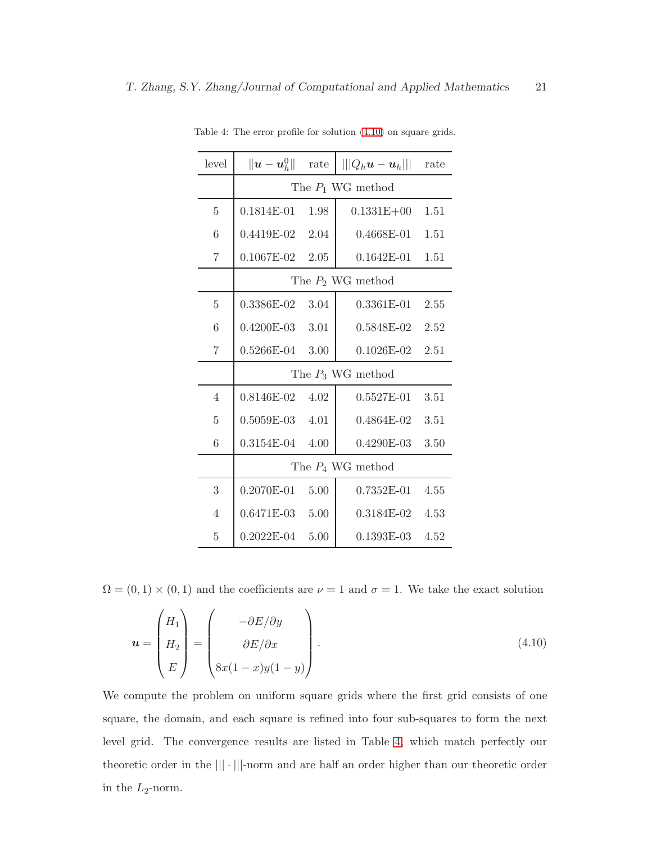<span id="page-20-1"></span>

| level          | $\ \boldsymbol{u}-\boldsymbol{u}_h^0\ $ | rate | $   Q_h\boldsymbol{u}-\boldsymbol{u}_h   $ | rate |  |
|----------------|-----------------------------------------|------|--------------------------------------------|------|--|
|                | The $P_1$ WG method                     |      |                                            |      |  |
| $\overline{5}$ | $0.1814E-01$                            | 1.98 | $0.1331E + 00$                             | 1.51 |  |
| 6              | $0.4419E-02$ 2.04                       |      | $0.4668E - 01$                             | 1.51 |  |
| $\overline{7}$ | $0.1067E-02$ 2.05                       |      | $0.1642E-01$ $1.51$                        |      |  |
|                | The $P_2$ WG method                     |      |                                            |      |  |
| $\overline{5}$ | $0.3386E-02$                            | 3.04 | $0.3361E - 01$                             | 2.55 |  |
| 6              | $0.4200E-03$ 3.01                       |      | $0.5848E-02$                               | 2.52 |  |
| 7              | $0.5266E-04$ 3.00                       |      | $0.1026E-02$                               | 2.51 |  |
|                | The $P_3$ WG method                     |      |                                            |      |  |
| $\overline{4}$ | 0.8146E-02                              | 4.02 | $0.5527E-01$                               | 3.51 |  |
| $\overline{5}$ | $0.5059E-03$ 4.01                       |      | $0.4864E-02$                               | 3.51 |  |
| 6              | $0.3154E-04$                            | 4.00 | 0.4290E-03                                 | 3.50 |  |
|                | The $P_4$ WG method                     |      |                                            |      |  |
| 3              | $0.2070E-01$ 5.00                       |      | $0.7352E-01$                               | 4.55 |  |
| 4              | $0.6471E-03$ 5.00                       |      | $0.3184E-02$                               | 4.53 |  |
| 5              | $0.2022E - 04$                          | 5.00 | $0.1393E-03$                               | 4.52 |  |

Table 4: The error profile for solution [\(4.10\)](#page-20-0) on square grids.

 $\Omega = (0, 1) \times (0, 1)$  and the coefficients are  $\nu = 1$  and  $\sigma = 1$ . We take the exact solution

<span id="page-20-0"></span>
$$
\boldsymbol{u} = \begin{pmatrix} H_1 \\ H_2 \\ E \end{pmatrix} = \begin{pmatrix} -\partial E/\partial y \\ \partial E/\partial x \\ 8x(1-x)y(1-y) \end{pmatrix} . \tag{4.10}
$$

We compute the problem on uniform square grids where the first grid consists of one square, the domain, and each square is refined into four sub-squares to form the next level grid. The convergence results are listed in Table [4,](#page-20-1) which match perfectly our theoretic order in the ||| · |||-norm and are half an order higher than our theoretic order in the  $L_2$ -norm.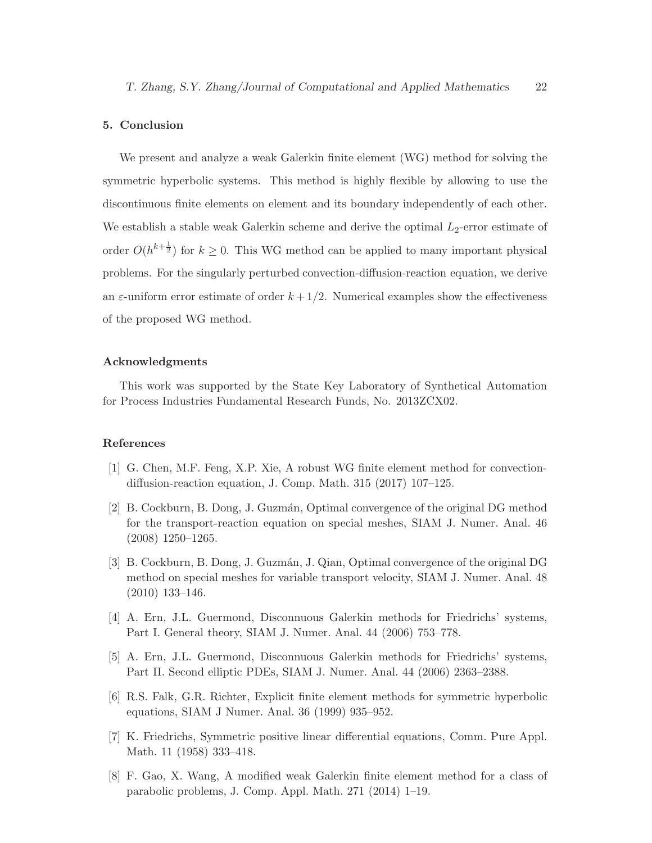#### 5. Conclusion

We present and analyze a weak Galerkin finite element (WG) method for solving the symmetric hyperbolic systems. This method is highly flexible by allowing to use the discontinuous finite elements on element and its boundary independently of each other. We establish a stable weak Galerkin scheme and derive the optimal  $L_2$ -error estimate of order  $O(h^{k+\frac{1}{2}})$  for  $k \geq 0$ . This WG method can be applied to many important physical problems. For the singularly perturbed convection-diffusion-reaction equation, we derive an  $\varepsilon$ -uniform error estimate of order  $k + 1/2$ . Numerical examples show the effectiveness of the proposed WG method.

#### Acknowledgments

This work was supported by the State Key Laboratory of Synthetical Automation for Process Industries Fundamental Research Funds, No. 2013ZCX02.

#### References

- <span id="page-21-5"></span>[1] G. Chen, M.F. Feng, X.P. Xie, A robust WG finite element method for convectiondiffusion-reaction equation, J. Comp. Math. 315 (2017) 107–125.
- <span id="page-21-0"></span>[2] B. Cockburn, B. Dong, J. Guzm´an, Optimal convergence of the original DG method for the transport-reaction equation on special meshes, SIAM J. Numer. Anal. 46 (2008) 1250–1265.
- <span id="page-21-1"></span>[3] B. Cockburn, B. Dong, J. Guzmán, J. Qian, Optimal convergence of the original DG method on special meshes for variable transport velocity, SIAM J. Numer. Anal. 48 (2010) 133–146.
- <span id="page-21-2"></span>[4] A. Ern, J.L. Guermond, Disconnuous Galerkin methods for Friedrichs' systems, Part I. General theory, SIAM J. Numer. Anal. 44 (2006) 753–778.
- <span id="page-21-3"></span>[5] A. Ern, J.L. Guermond, Disconnuous Galerkin methods for Friedrichs' systems, Part II. Second elliptic PDEs, SIAM J. Numer. Anal. 44 (2006) 2363–2388.
- <span id="page-21-4"></span>[6] R.S. Falk, G.R. Richter, Explicit finite element methods for symmetric hyperbolic equations, SIAM J Numer. Anal. 36 (1999) 935–952.
- <span id="page-21-7"></span>[7] K. Friedrichs, Symmetric positive linear differential equations, Comm. Pure Appl. Math. 11 (1958) 333–418.
- <span id="page-21-6"></span>[8] F. Gao, X. Wang, A modified weak Galerkin finite element method for a class of parabolic problems, J. Comp. Appl. Math. 271 (2014) 1–19.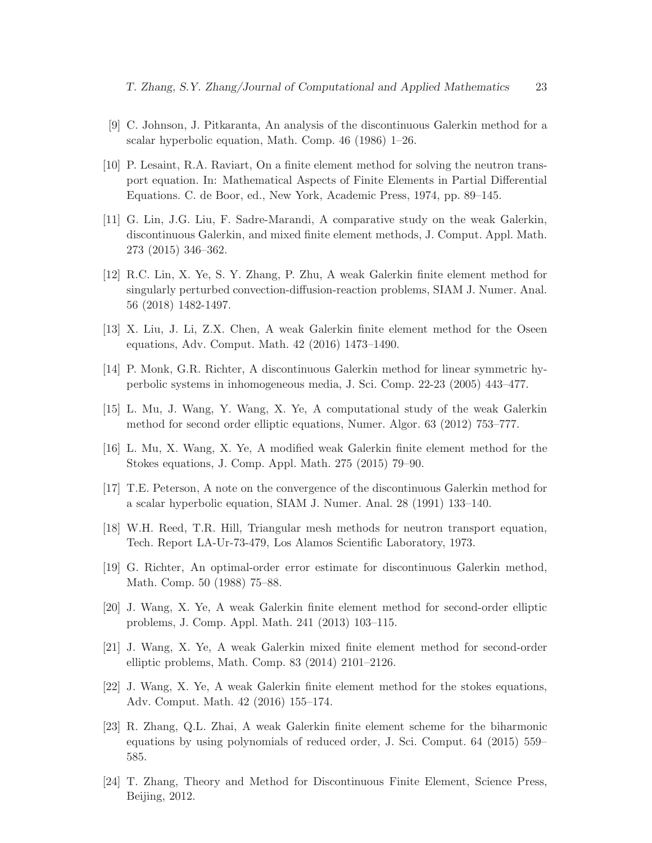- <span id="page-22-2"></span>[9] C. Johnson, J. Pitkaranta, An analysis of the discontinuous Galerkin method for a scalar hyperbolic equation, Math. Comp. 46 (1986) 1–26.
- <span id="page-22-1"></span>[10] P. Lesaint, R.A. Raviart, On a finite element method for solving the neutron transport equation. In: Mathematical Aspects of Finite Elements in Partial Differential Equations. C. de Boor, ed., New York, Academic Press, 1974, pp. 89–145.
- <span id="page-22-8"></span>[11] G. Lin, J.G. Liu, F. Sadre-Marandi, A comparative study on the weak Galerkin, discontinuous Galerkin, and mixed finite element methods, J. Comput. Appl. Math. 273 (2015) 346–362.
- <span id="page-22-9"></span>[12] R.C. Lin, X. Ye, S. Y. Zhang, P. Zhu, A weak Galerkin finite element method for singularly perturbed convection-diffusion-reaction problems, SIAM J. Numer. Anal. 56 (2018) 1482-1497.
- <span id="page-22-10"></span>[13] X. Liu, J. Li, Z.X. Chen, A weak Galerkin finite element method for the Oseen equations, Adv. Comput. Math. 42 (2016) 1473–1490.
- <span id="page-22-6"></span>[14] P. Monk, G.R. Richter, A discontinuous Galerkin method for linear symmetric hyperbolic systems in inhomogeneous media, J. Sci. Comp. 22-23 (2005) 443–477.
- <span id="page-22-11"></span>[15] L. Mu, J. Wang, Y. Wang, X. Ye, A computational study of the weak Galerkin method for second order elliptic equations, Numer. Algor. 63 (2012) 753–777.
- <span id="page-22-12"></span>[16] L. Mu, X. Wang, X. Ye, A modified weak Galerkin finite element method for the Stokes equations, J. Comp. Appl. Math. 275 (2015) 79–90.
- <span id="page-22-3"></span>[17] T.E. Peterson, A note on the convergence of the discontinuous Galerkin method for a scalar hyperbolic equation, SIAM J. Numer. Anal. 28 (1991) 133–140.
- <span id="page-22-0"></span>[18] W.H. Reed, T.R. Hill, Triangular mesh methods for neutron transport equation, Tech. Report LA-Ur-73-479, Los Alamos Scientific Laboratory, 1973.
- <span id="page-22-4"></span>[19] G. Richter, An optimal-order error estimate for discontinuous Galerkin method, Math. Comp. 50 (1988) 75–88.
- <span id="page-22-7"></span>[20] J. Wang, X. Ye, A weak Galerkin finite element method for second-order elliptic problems, J. Comp. Appl. Math. 241 (2013) 103–115.
- <span id="page-22-13"></span>[21] J. Wang, X. Ye, A weak Galerkin mixed finite element method for second-order elliptic problems, Math. Comp. 83 (2014) 2101–2126.
- <span id="page-22-14"></span>[22] J. Wang, X. Ye, A weak Galerkin finite element method for the stokes equations, Adv. Comput. Math. 42 (2016) 155–174.
- <span id="page-22-15"></span>[23] R. Zhang, Q.L. Zhai, A weak Galerkin finite element scheme for the biharmonic equations by using polynomials of reduced order, J. Sci. Comput. 64 (2015) 559– 585.
- <span id="page-22-5"></span>[24] T. Zhang, Theory and Method for Discontinuous Finite Element, Science Press, Beijing, 2012.